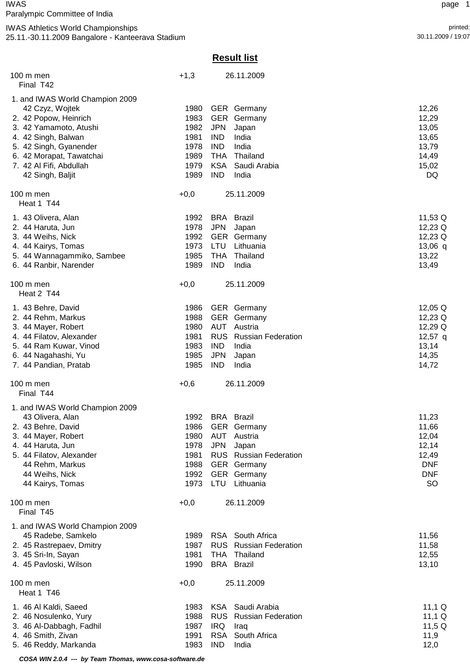# IWAS page 1

Paralympic Committee of India

# IWAS Athletics World Championships printed:

25.11.-30.11.2009 Bangalore - Kanteerava Stadium 30.11.2009 / 19:07

# **Result list**

| $100 \text{ m}$ men<br>Final T42                                                                                                                                                                                                  | $+1,3$                                                       |                                                                                                | 26.11.2009                                                                                                                              |                                                                                    |
|-----------------------------------------------------------------------------------------------------------------------------------------------------------------------------------------------------------------------------------|--------------------------------------------------------------|------------------------------------------------------------------------------------------------|-----------------------------------------------------------------------------------------------------------------------------------------|------------------------------------------------------------------------------------|
| 1. and IWAS World Champion 2009<br>42 Czyz, Wojtek<br>2. 42 Popow, Heinrich<br>3. 42 Yamamoto, Atushi<br>4. 42 Singh, Balwan<br>5. 42 Singh, Gyanender<br>6. 42 Morapat, Tawatchai<br>7. 42 Al Fifi, Abdullah<br>42 Singh, Baljit | 1980<br>1983<br>1982<br>1981<br>1978<br>1989<br>1979<br>1989 | <b>GER</b><br><b>JPN</b><br><b>IND</b><br><b>IND</b><br><b>THA</b><br><b>KSA</b><br><b>IND</b> | <b>GER</b> Germany<br>Germany<br>Japan<br>India<br>India<br>Thailand<br>Saudi Arabia<br>India                                           | 12,26<br>12,29<br>13,05<br>13,65<br>13,79<br>14,49<br>15,02<br>DQ                  |
| 100 m men<br>Heat 1 T44                                                                                                                                                                                                           | $+0,0$                                                       |                                                                                                | 25.11.2009                                                                                                                              |                                                                                    |
| 1. 43 Olivera, Alan<br>2. 44 Haruta, Jun<br>3. 44 Weihs, Nick<br>4. 44 Kairys, Tomas<br>5. 44 Wannagammiko, Sambee<br>6. 44 Ranbir, Narender                                                                                      | 1992<br>1978<br>1992<br>1973<br>1985<br>1989                 | <b>JPN</b><br>LTU<br><b>THA</b><br><b>IND</b>                                                  | <b>BRA</b> Brazil<br>Japan<br><b>GER</b> Germany<br>Lithuania<br>Thailand<br>India                                                      | 11,53 Q<br>12,23 Q<br>12,23 Q<br>$13,06$ q<br>13,22<br>13,49                       |
| 100 m men<br>Heat 2 T44                                                                                                                                                                                                           | $+0,0$                                                       |                                                                                                | 25.11.2009                                                                                                                              |                                                                                    |
| 1. 43 Behre, David<br>2. 44 Rehm, Markus<br>3. 44 Mayer, Robert<br>4. 44 Filatov, Alexander<br>5. 44 Ram Kuwar, Vinod<br>6. 44 Nagahashi, Yu<br>7. 44 Pandian, Pratab                                                             | 1986<br>1988<br>1980<br>1981<br>1983<br>1985<br>1985         | <b>GER</b><br><b>AUT</b><br><b>RUS</b><br><b>IND</b><br><b>JPN</b><br><b>IND</b>               | <b>GER</b> Germany<br>Germany<br>Austria<br><b>Russian Federation</b><br>India<br>Japan<br>India                                        | 12,05 Q<br>12,23 Q<br>12,29 Q<br>$12,57$ q<br>13,14<br>14,35<br>14,72              |
| 100 m men<br>Final T44                                                                                                                                                                                                            | $+0,6$                                                       |                                                                                                | 26.11.2009                                                                                                                              |                                                                                    |
| 1. and IWAS World Champion 2009<br>43 Olivera, Alan<br>2. 43 Behre, David<br>3. 44 Mayer, Robert<br>4. 44 Haruta, Jun<br>5. 44 Filatov, Alexander<br>44 Rehm, Markus<br>44 Weihs, Nick<br>44 Kairys, Tomas                        | 1992<br>1986<br>1980<br>1978<br>1981<br>1988<br>1992<br>1973 | AUT<br><b>JPN</b><br><b>LTU</b>                                                                | <b>BRA</b> Brazil<br><b>GER</b> Germany<br>Austria<br>Japan<br><b>RUS</b> Russian Federation<br>GER Germany<br>GER Germany<br>Lithuania | 11,23<br>11,66<br>12,04<br>12,14<br>12,49<br><b>DNF</b><br><b>DNF</b><br><b>SO</b> |
| 100 m men<br>Final T45                                                                                                                                                                                                            | $+0,0$                                                       |                                                                                                | 26.11.2009                                                                                                                              |                                                                                    |
| 1. and IWAS World Champion 2009<br>45 Radebe, Samkelo<br>2. 45 Rastrepaev, Dmitry<br>3. 45 Sri-In, Sayan<br>4. 45 Pavloski, Wilson                                                                                                | 1989<br>1987<br>1981<br>1990                                 | <b>RUS</b><br><b>THA</b>                                                                       | RSA South Africa<br><b>Russian Federation</b><br>Thailand<br><b>BRA</b> Brazil                                                          | 11,56<br>11,58<br>12,55<br>13,10                                                   |
| 100 m men<br>Heat 1 T46                                                                                                                                                                                                           | $+0,0$                                                       |                                                                                                | 25.11.2009                                                                                                                              |                                                                                    |
| 1. 46 Al Kaldi, Saeed<br>2. 46 Nosulenko, Yury<br>3. 46 Al-Dabbagh, Fadhil<br>4. 46 Smith, Zivan<br>5. 46 Reddy, Markanda                                                                                                         | 1983<br>1988<br>1987<br>1991<br>1983                         | KSA<br><b>RUS</b><br><b>IRQ</b><br><b>RSA</b><br><b>IND</b>                                    | Saudi Arabia<br><b>Russian Federation</b><br>Iraq<br>South Africa<br>India                                                              | 11,1 $Q$<br>11,1 $Q$<br>11,5 $Q$<br>11,9<br>12,0                                   |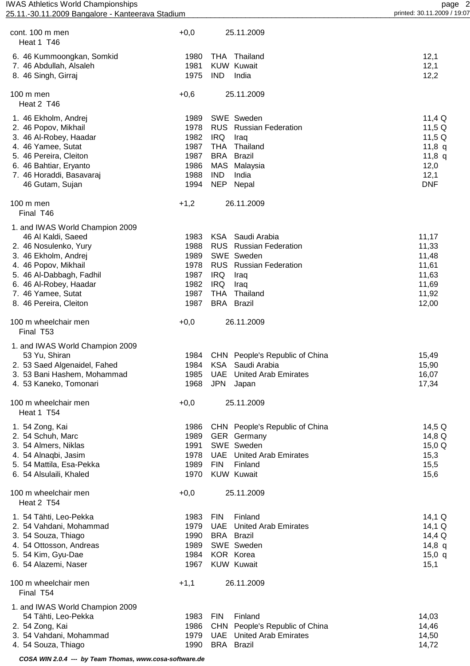| cont. 100 m men<br>Heat 1 T46                                               | $+0,0$               |                   | 25.11.2009                                                        |                      |
|-----------------------------------------------------------------------------|----------------------|-------------------|-------------------------------------------------------------------|----------------------|
| 6. 46 Kummoongkan, Somkid<br>7. 46 Abdullah, Alsaleh<br>8. 46 Singh, Girraj | 1980<br>1981<br>1975 | <b>IND</b>        | THA Thailand<br><b>KUW Kuwait</b><br>India                        | 12,1<br>12,1<br>12,2 |
| 100 m men                                                                   | $+0,6$               |                   | 25.11.2009                                                        |                      |
| Heat 2 T46                                                                  |                      |                   |                                                                   |                      |
| 1. 46 Ekholm, Andrej                                                        | 1989                 |                   | SWE Sweden                                                        | 11,4 $Q$             |
| 2. 46 Popov, Mikhail                                                        | 1978                 |                   | <b>RUS</b> Russian Federation                                     | 11,5 $Q$             |
| 3. 46 Al-Robey, Haadar                                                      | 1982                 | <b>IRQ</b>        | Iraq                                                              | 11,5 $Q$             |
| 4. 46 Yamee, Sutat<br>5. 46 Pereira, Cleiton                                | 1987<br>1987         | <b>THA</b><br>BRA | Thailand<br><b>Brazil</b>                                         | 11,8 $q$<br>11,8 $q$ |
| 6. 46 Bahtiar, Eryanto                                                      | 1986                 |                   | MAS Malaysia                                                      | 12,0                 |
| 7. 46 Horaddi, Basavaraj                                                    | 1988                 | <b>IND</b>        | India                                                             | 12,1                 |
| 46 Gutam, Sujan                                                             | 1994                 | NEP               | Nepal                                                             | <b>DNF</b>           |
| 100 m men<br>Final T46                                                      | $+1,2$               |                   | 26.11.2009                                                        |                      |
| 1. and IWAS World Champion 2009                                             |                      |                   |                                                                   |                      |
| 46 Al Kaldi, Saeed                                                          | 1983                 | KSA               | Saudi Arabia                                                      | 11,17                |
| 2. 46 Nosulenko, Yury                                                       | 1988                 |                   | RUS Russian Federation                                            | 11,33                |
| 3. 46 Ekholm, Andrej                                                        | 1989<br>1978         |                   | SWE Sweden<br><b>RUS</b> Russian Federation                       | 11,48                |
| 4. 46 Popov, Mikhail<br>5. 46 Al-Dabbagh, Fadhil                            | 1987                 | <b>IRQ</b>        | Iraq                                                              | 11,61<br>11,63       |
| 6. 46 Al-Robey, Haadar                                                      | 1982                 | <b>IRQ</b>        | Iraq                                                              | 11,69                |
| 7. 46 Yamee, Sutat                                                          | 1987                 | <b>THA</b>        | Thailand                                                          | 11,92                |
| 8. 46 Pereira, Cleiton                                                      | 1987                 |                   | <b>BRA</b> Brazil                                                 | 12,00                |
| 100 m wheelchair men<br>Final T53                                           | $+0,0$               |                   | 26.11.2009                                                        |                      |
| 1. and IWAS World Champion 2009                                             |                      |                   |                                                                   |                      |
| 53 Yu, Shiran                                                               | 1984                 |                   | CHN People's Republic of China                                    | 15,49                |
| 2. 53 Saed Algenaidel, Fahed                                                | 1984                 | <b>KSA</b>        | Saudi Arabia                                                      | 15,90                |
| 3. 53 Bani Hashem, Mohammad                                                 | 1985                 | UAE               | <b>United Arab Emirates</b>                                       | 16,07                |
| 4. 53 Kaneko, Tomonari                                                      |                      |                   | 1968 JPN Japan                                                    | 17,34                |
| 100 m wheelchair men<br>Heat 1 T54                                          | $+0,0$               |                   | 25.11.2009                                                        |                      |
| 1. 54 Zong, Kai                                                             | 1986                 |                   | CHN People's Republic of China                                    | 14,5 Q               |
| 2. 54 Schuh, Marc                                                           | 1989                 |                   | <b>GER</b> Germany                                                | 14,8 Q               |
| 3. 54 Almers, Niklas<br>4. 54 Alnaqbi, Jasim                                | 1991<br>1978         |                   | SWE Sweden<br><b>UAE</b> United Arab Emirates                     | 15,0 Q<br>15,3       |
| 5. 54 Mattila, Esa-Pekka                                                    | 1989                 | <b>FIN</b>        | Finland                                                           | 15,5                 |
| 6. 54 Alsulaili, Khaled                                                     | 1970                 |                   | <b>KUW Kuwait</b>                                                 | 15,6                 |
| 100 m wheelchair men<br>Heat 2 T54                                          | $+0,0$               |                   | 25.11.2009                                                        |                      |
| 1. 54 Tähti, Leo-Pekka                                                      | 1983                 | <b>FIN</b>        | Finland                                                           | $14,1 \Omega$        |
| 2. 54 Vahdani, Mohammad                                                     | 1979                 | UAE               | <b>United Arab Emirates</b>                                       | $14,1 \Omega$        |
| 3. 54 Souza, Thiago                                                         | 1990                 |                   | <b>BRA</b> Brazil                                                 | 14,4 Q               |
| 4. 54 Ottosson, Andreas<br>5. 54 Kim, Gyu-Dae                               | 1989<br>1984         |                   | SWE Sweden<br>KOR Korea                                           | 14,8 $q$<br>15,0 q   |
| 6. 54 Alazemi, Naser                                                        | 1967                 |                   | <b>KUW Kuwait</b>                                                 | 15,1                 |
| 100 m wheelchair men<br>Final T54                                           | $+1,1$               |                   | 26.11.2009                                                        |                      |
| 1. and IWAS World Champion 2009                                             |                      |                   |                                                                   |                      |
| 54 Tähti, Leo-Pekka                                                         | 1983                 | <b>FIN</b>        | Finland                                                           | 14,03                |
| 2. 54 Zong, Kai<br>3. 54 Vahdani, Mohammad                                  | 1986<br>1979         |                   | CHN People's Republic of China<br><b>UAE</b> United Arab Emirates | 14,46                |
| 4. 54 Souza, Thiago                                                         | 1990                 |                   | <b>BRA</b> Brazil                                                 | 14,50<br>14,72       |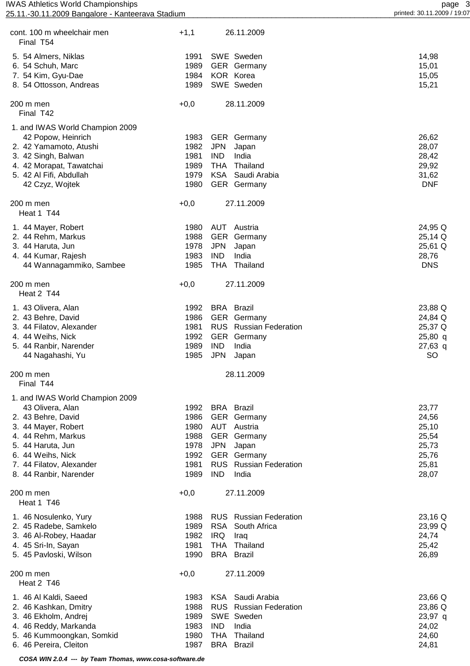| <b>IWAS Athletics World Championships</b><br>25.11.-30.11.2009 Bangalore - Kanteerava Stadium |        |            |                               | page 3<br>printed: 30.11.2009 / 19:07 |
|-----------------------------------------------------------------------------------------------|--------|------------|-------------------------------|---------------------------------------|
| cont. 100 m wheelchair men                                                                    | $+1,1$ |            | 26.11.2009                    |                                       |
| Final T54                                                                                     |        |            |                               |                                       |
| 5. 54 Almers, Niklas                                                                          | 1991   |            | SWE Sweden                    | 14,98                                 |
| 6. 54 Schuh, Marc                                                                             | 1989   |            | GER Germany                   | 15,01                                 |
| 7. 54 Kim, Gyu-Dae                                                                            | 1984   |            | KOR Korea                     | 15,05                                 |
| 8. 54 Ottosson, Andreas                                                                       | 1989   |            | SWE Sweden                    | 15,21                                 |
| 200 m men<br>Final T42                                                                        | $+0,0$ |            | 28.11.2009                    |                                       |
| 1. and IWAS World Champion 2009                                                               |        |            |                               |                                       |
| 42 Popow, Heinrich                                                                            | 1983   |            | <b>GER</b> Germany            | 26,62                                 |
| 2. 42 Yamamoto, Atushi                                                                        | 1982   | <b>JPN</b> | Japan                         | 28,07                                 |
| 3. 42 Singh, Balwan                                                                           | 1981   | <b>IND</b> | India                         | 28,42                                 |
| 4. 42 Morapat, Tawatchai                                                                      | 1989   | THA        | Thailand                      | 29,92                                 |
| 5. 42 Al Fifi, Abdullah                                                                       | 1979   |            | KSA Saudi Arabia              | 31,62                                 |
| 42 Czyz, Wojtek                                                                               | 1980   |            | GER Germany                   | <b>DNF</b>                            |
| 200 m men                                                                                     | $+0,0$ |            | 27.11.2009                    |                                       |
| Heat 1 T44                                                                                    |        |            |                               |                                       |
| 1. 44 Mayer, Robert                                                                           | 1980   |            | AUT Austria                   | 24,95 Q                               |
| 2. 44 Rehm, Markus                                                                            | 1988   |            | GER Germany                   | 25,14 Q                               |
| 3. 44 Haruta, Jun                                                                             | 1978   | JPN        | Japan                         | 25,61 Q                               |
| 4. 44 Kumar, Rajesh                                                                           | 1983   | <b>IND</b> | India                         | 28,76                                 |
| 44 Wannagammiko, Sambee                                                                       | 1985   |            | THA Thailand                  | <b>DNS</b>                            |
| 200 m men<br>Heat 2 T44                                                                       | $+0,0$ |            | 27.11.2009                    |                                       |
| 1. 43 Olivera, Alan                                                                           | 1992   |            | <b>BRA</b> Brazil             | 23,88 Q                               |
| 2. 43 Behre, David                                                                            | 1986   |            | GER Germany                   | 24,84 Q                               |
| 3. 44 Filatov, Alexander                                                                      | 1981   |            | <b>RUS</b> Russian Federation | 25,37 Q                               |
| 4. 44 Weihs, Nick                                                                             | 1992   |            | GER Germany                   | $25,80$ q                             |
| 5. 44 Ranbir, Narender                                                                        | 1989   | <b>IND</b> | India                         | $27,63$ q                             |
| 44 Nagahashi, Yu                                                                              |        |            | 1985 JPN Japan                | SO                                    |
| 200 m men<br>Final T44                                                                        |        |            | 28.11.2009                    |                                       |
|                                                                                               |        |            |                               |                                       |
| 1. and IWAS World Champion 2009<br>43 Olivera, Alan                                           | 1992   |            | <b>BRA</b> Brazil             | 23,77                                 |
| 2. 43 Behre, David                                                                            | 1986   |            | GER Germany                   | 24,56                                 |
| 3. 44 Mayer, Robert                                                                           | 1980   |            | <b>AUT</b> Austria            | 25,10                                 |
| 4. 44 Rehm, Markus                                                                            | 1988   |            | GER Germany                   | 25,54                                 |
| 5. 44 Haruta, Jun                                                                             | 1978   | <b>JPN</b> | Japan                         | 25,73                                 |
| 6. 44 Weihs, Nick                                                                             | 1992   |            | GER Germany                   | 25,76                                 |
| 7. 44 Filatov, Alexander                                                                      | 1981   |            | RUS Russian Federation        | 25,81                                 |
| 8. 44 Ranbir, Narender                                                                        | 1989   | <b>IND</b> | India                         | 28,07                                 |
| 200 m men<br>Heat 1 T46                                                                       | $+0,0$ |            | 27.11.2009                    |                                       |
| 1. 46 Nosulenko, Yury                                                                         | 1988   |            | <b>RUS</b> Russian Federation | 23,16 Q                               |
| 2. 45 Radebe, Samkelo                                                                         | 1989   | <b>RSA</b> | South Africa                  | 23,99 Q                               |
| 3. 46 Al-Robey, Haadar                                                                        | 1982   | <b>IRQ</b> | Iraq                          | 24,74                                 |
| 4. 45 Sri-In, Sayan                                                                           | 1981   |            | THA Thailand                  | 25,42                                 |
| 5. 45 Pavloski, Wilson                                                                        | 1990   |            | <b>BRA</b> Brazil             | 26,89                                 |
| 200 m men<br>Heat 2 T46                                                                       | $+0,0$ |            | 27.11.2009                    |                                       |
| 1. 46 Al Kaldi, Saeed                                                                         | 1983   |            | KSA Saudi Arabia              | 23,66 Q                               |
| 2. 46 Kashkan, Dmitry                                                                         | 1988   |            | <b>RUS</b> Russian Federation | 23,86 Q                               |
| 3. 46 Ekholm, Andrej                                                                          | 1989   |            | SWE Sweden                    | 23,97 q                               |
| 4. 46 Reddy, Markanda                                                                         | 1983   | <b>IND</b> | India                         | 24,02                                 |

5. 46 Kummoongkan, Somkid 1980 THA Thailand 24,60

6. 46 Pereira, Cleiton **1987 BRA Brazil 1987 BRA Brazil** 24,81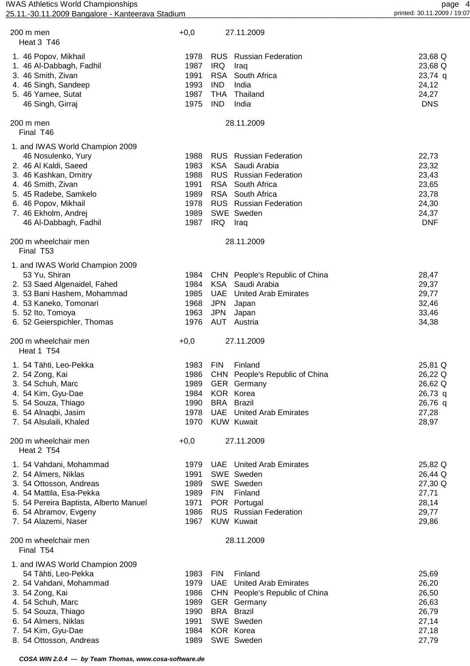| 200 m men<br>Heat 3 T46                       | $+0,0$       |            | 27.11.2009                                           |                     |
|-----------------------------------------------|--------------|------------|------------------------------------------------------|---------------------|
| 1. 46 Popov, Mikhail                          | 1978         |            | <b>RUS</b> Russian Federation                        | 23,68 Q             |
| 1. 46 Al-Dabbagh, Fadhil                      | 1987         | <b>IRQ</b> | Iraq                                                 | 23,68 Q             |
| 3. 46 Smith, Zivan                            | 1991         | <b>RSA</b> | South Africa                                         | $23,74$ q           |
| 4. 46 Singh, Sandeep                          | 1993         | <b>IND</b> | India                                                | 24,12               |
| 5. 46 Yamee, Sutat                            | 1987         | <b>THA</b> | Thailand                                             | 24,27               |
| 46 Singh, Girraj                              | 1975         | <b>IND</b> | India                                                | <b>DNS</b>          |
| 200 m men<br>Final T46                        |              |            | 28.11.2009                                           |                     |
| 1. and IWAS World Champion 2009               |              |            |                                                      |                     |
| 46 Nosulenko, Yury                            | 1988         |            | <b>RUS</b> Russian Federation                        | 22,73               |
| 2. 46 Al Kaldi, Saeed                         | 1983         | <b>KSA</b> | Saudi Arabia                                         | 23,32               |
| 3. 46 Kashkan, Dmitry                         | 1988         |            | <b>RUS</b> Russian Federation                        | 23,43               |
| 4. 46 Smith, Zivan                            | 1991         |            | RSA South Africa                                     | 23,65               |
| 5. 45 Radebe, Samkelo                         | 1989         |            | RSA South Africa                                     | 23,78               |
| 6. 46 Popov, Mikhail                          | 1978<br>1989 |            | <b>RUS</b> Russian Federation<br>SWE Sweden          | 24,30               |
| 7. 46 Ekholm, Andrej<br>46 Al-Dabbagh, Fadhil | 1987         | IRQ Iraq   |                                                      | 24,37<br><b>DNF</b> |
|                                               |              |            |                                                      |                     |
| 200 m wheelchair men<br>Final T53             |              |            | 28.11.2009                                           |                     |
| 1. and IWAS World Champion 2009               |              |            |                                                      |                     |
| 53 Yu, Shiran                                 | 1984         |            | CHN People's Republic of China                       | 28,47               |
| 2. 53 Saed Algenaidel, Fahed                  | 1984         | <b>KSA</b> | Saudi Arabia                                         | 29,37               |
| 3. 53 Bani Hashem, Mohammad                   | 1985         | <b>UAE</b> | <b>United Arab Emirates</b>                          | 29,77               |
| 4. 53 Kaneko, Tomonari                        | 1968         | <b>JPN</b> | Japan                                                | 32,46               |
| 5. 52 lto, Tomoya                             | 1963         | <b>JPN</b> | Japan                                                | 33,46               |
| 6. 52 Geierspichler, Thomas                   | 1976         | AUT        | Austria                                              | 34,38               |
| 200 m wheelchair men<br>Heat 1 T54            | $+0,0$       |            | 27.11.2009                                           |                     |
| 1. 54 Tähti, Leo-Pekka                        | 1983         | <b>FIN</b> | Finland                                              | 25,81 Q             |
| 2. 54 Zong, Kai                               |              |            | 1986 CHN People's Republic of China                  | 26,22 Q             |
| 3. 54 Schuh, Marc                             | 1989         |            | <b>GER</b> Germany                                   | 26,62 Q             |
| 4. 54 Kim, Gyu-Dae                            | 1984         |            | KOR Korea                                            | $26,73$ q           |
| 5. 54 Souza, Thiago                           | 1990         |            | <b>BRA</b> Brazil                                    | 26,76 q             |
| 6. 54 Alnaqbi, Jasim                          | 1978<br>1970 |            | <b>UAE</b> United Arab Emirates<br><b>KUW Kuwait</b> | 27,28               |
| 7. 54 Alsulaili, Khaled                       |              |            |                                                      | 28,97               |
| 200 m wheelchair men<br>Heat 2 T54            | $+0,0$       |            | 27.11.2009                                           |                     |
| 1. 54 Vahdani, Mohammad                       | 1979         |            | <b>UAE</b> United Arab Emirates                      | 25,82 Q             |
| 2. 54 Almers, Niklas                          | 1991         |            | SWE Sweden                                           | 26,44 Q             |
| 3. 54 Ottosson, Andreas                       | 1989         |            | SWE Sweden                                           | 27,30 Q             |
| 4. 54 Mattila, Esa-Pekka                      | 1989         | <b>FIN</b> | Finland                                              | 27,71               |
| 5. 54 Pereira Baptista, Alberto Manuel        | 1971         |            | POR Portugal                                         | 28,14               |
| 6. 54 Abramov, Evgeny                         | 1986         |            | <b>RUS</b> Russian Federation                        | 29,77               |
| 7. 54 Alazemi, Naser                          | 1967         |            | <b>KUW Kuwait</b>                                    | 29,86               |
| 200 m wheelchair men<br>Final T54             |              |            | 28.11.2009                                           |                     |
| 1. and IWAS World Champion 2009               |              |            |                                                      |                     |
| 54 Tähti, Leo-Pekka                           | 1983         | <b>FIN</b> | Finland                                              | 25,69               |
| 2. 54 Vahdani, Mohammad                       | 1979         |            | <b>UAE</b> United Arab Emirates                      | 26,20               |
| 3. 54 Zong, Kai                               | 1986         |            | CHN People's Republic of China                       | 26,50               |
| 4. 54 Schuh, Marc                             | 1989         |            | GER Germany                                          | 26,63               |
| 5. 54 Souza, Thiago                           | 1990<br>1991 |            | <b>BRA</b> Brazil<br>SWE Sweden                      | 26,79               |
| 6. 54 Almers, Niklas<br>7. 54 Kim, Gyu-Dae    | 1984         |            | KOR Korea                                            | 27,14<br>27,18      |
|                                               |              |            |                                                      |                     |
| 8. 54 Ottosson, Andreas                       | 1989         |            | SWE Sweden                                           | 27,79               |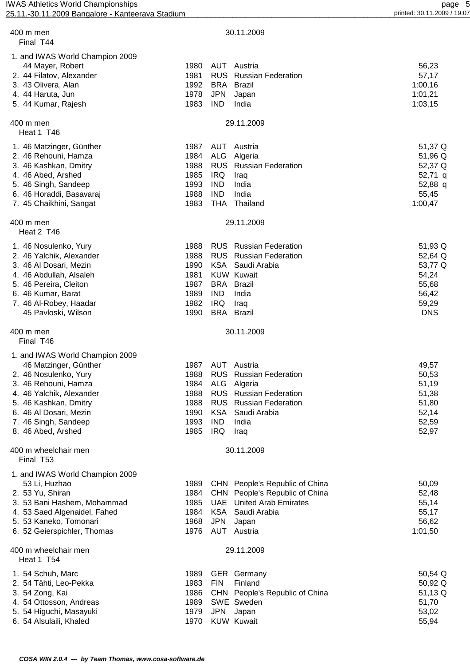| 400 m men<br>Final T44                                                                                                                                                                                                                 | 30.11.2009                                                                                                                                                                                                                                                               |                                                                                 |
|----------------------------------------------------------------------------------------------------------------------------------------------------------------------------------------------------------------------------------------|--------------------------------------------------------------------------------------------------------------------------------------------------------------------------------------------------------------------------------------------------------------------------|---------------------------------------------------------------------------------|
| 1. and IWAS World Champion 2009<br>44 Mayer, Robert<br>2. 44 Filatov, Alexander<br>3. 43 Olivera, Alan<br>4. 44 Haruta, Jun<br>5. 44 Kumar, Rajesh                                                                                     | 1980<br>AUT<br>Austria<br>1981<br><b>RUS</b><br><b>Russian Federation</b><br>1992<br>BRA<br>Brazil<br><b>JPN</b><br>1978<br>Japan<br>1983<br><b>IND</b><br>India                                                                                                         | 56,23<br>57,17<br>1:00,16<br>1:01,21<br>1:03,15                                 |
| 400 m men<br>Heat 1 T46                                                                                                                                                                                                                | 29.11.2009                                                                                                                                                                                                                                                               |                                                                                 |
| 1. 46 Matzinger, Günther<br>2. 46 Rehouni, Hamza<br>3. 46 Kashkan, Dmitry<br>4. 46 Abed, Arshed<br>5. 46 Singh, Sandeep<br>6. 46 Horaddi, Basavaraj<br>7. 45 Chaikhini, Sangat                                                         | 1987<br>AUT<br>Austria<br>1984<br><b>ALG</b><br>Algeria<br>1988<br><b>RUS</b> Russian Federation<br>1985<br><b>IRQ</b><br>Iraq<br>1993<br><b>IND</b><br>India<br>1988<br><b>IND</b><br>India<br>1983<br><b>THA</b><br>Thailand                                           | 51,37 Q<br>51,96 Q<br>52,37 Q<br>52,71 q<br>52,88 q<br>55,45<br>1:00,47         |
| 400 m men<br>Heat 2 T46                                                                                                                                                                                                                | 29.11.2009                                                                                                                                                                                                                                                               |                                                                                 |
| 1. 46 Nosulenko, Yury<br>2. 46 Yalchik, Alexander<br>3. 46 Al Dosari, Mezin<br>4. 46 Abdullah, Alsaleh<br>5. 46 Pereira, Cleiton<br>6. 46 Kumar, Barat<br>7. 46 Al-Robey, Haadar<br>45 Pavloski, Wilson                                | <b>RUS</b> Russian Federation<br>1988<br>1988<br><b>RUS</b> Russian Federation<br>1990<br><b>KSA</b><br>Saudi Arabia<br>1981<br><b>KUW Kuwait</b><br>1987<br><b>BRA</b> Brazil<br>1989<br><b>IND</b><br>India<br>1982<br><b>IRQ</b><br>Iraq<br><b>BRA</b> Brazil<br>1990 | 51,93 Q<br>52,64 Q<br>53,77 Q<br>54,24<br>55,68<br>56,42<br>59,29<br><b>DNS</b> |
| 400 m men<br>Final T46                                                                                                                                                                                                                 | 30.11.2009                                                                                                                                                                                                                                                               |                                                                                 |
| 1. and IWAS World Champion 2009<br>46 Matzinger, Günther<br>2. 46 Nosulenko, Yury<br>3. 46 Rehouni, Hamza<br>4. 46 Yalchik, Alexander<br>5. 46 Kashkan, Dmitry<br>6. 46 Al Dosari, Mezin<br>7. 46 Singh, Sandeep<br>8. 46 Abed, Arshed | 1987<br>AUT Austria<br>1988<br><b>RUS</b> Russian Federation<br>1984<br>ALG Algeria<br><b>RUS</b> Russian Federation<br>1988<br><b>RUS</b> Russian Federation<br>1988<br><b>KSA</b><br>1990<br>Saudi Arabia<br>1993<br><b>IND</b><br>India<br>1985<br><b>IRQ</b><br>Iraq | 49,57<br>50,53<br>51,19<br>51,38<br>51,80<br>52,14<br>52,59<br>52,97            |
| 400 m wheelchair men<br>Final T53                                                                                                                                                                                                      | 30.11.2009                                                                                                                                                                                                                                                               |                                                                                 |
| 1. and IWAS World Champion 2009<br>53 Li, Huzhao<br>2. 53 Yu, Shiran<br>3. 53 Bani Hashem, Mohammad<br>4. 53 Saed Algenaidel, Fahed<br>5. 53 Kaneko, Tomonari<br>6. 52 Geierspichler, Thomas                                           | 1989<br>CHN People's Republic of China<br>1984<br>CHN People's Republic of China<br><b>UAE</b> United Arab Emirates<br>1985<br><b>KSA</b><br>1984<br>Saudi Arabia<br><b>JPN</b><br>1968<br>Japan<br>1976<br>AUT Austria                                                  | 50,09<br>52,48<br>55,14<br>55,17<br>56,62<br>1:01,50                            |
| 400 m wheelchair men<br>Heat 1 T54                                                                                                                                                                                                     | 29.11.2009                                                                                                                                                                                                                                                               |                                                                                 |
| 1. 54 Schuh, Marc<br>2. 54 Tähti, Leo-Pekka<br>3. 54 Zong, Kai<br>4. 54 Ottosson, Andreas<br>5. 54 Higuchi, Masayuki<br>6. 54 Alsulaili, Khaled                                                                                        | 1989<br><b>GER</b> Germany<br><b>FIN</b><br>1983<br>Finland<br>1986<br>CHN People's Republic of China<br>1989<br>SWE Sweden<br><b>JPN</b><br>1979<br>Japan<br>1970<br><b>KUW Kuwait</b>                                                                                  | 50,54 Q<br>50,92 Q<br>51,13 Q<br>51,70<br>53,02<br>55,94                        |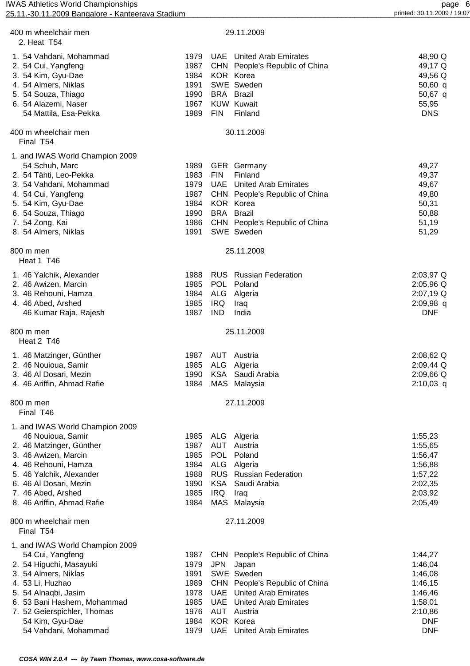| 25.11.-30.11.2009 Bangalore - Kanteerava Stadium |              |            |                                                            | printed: 30.11.2009 / 19:07 |
|--------------------------------------------------|--------------|------------|------------------------------------------------------------|-----------------------------|
| 400 m wheelchair men<br>2. Heat T54              |              |            | 29.11.2009                                                 |                             |
| 1. 54 Vahdani, Mohammad<br>2. 54 Cui, Yangfeng   | 1979<br>1987 |            | UAE United Arab Emirates<br>CHN People's Republic of China | 48,90 Q<br>49,17 Q          |
| 3. 54 Kim, Gyu-Dae                               | 1984         |            | KOR Korea                                                  | 49,56 Q                     |
| 4. 54 Almers, Niklas                             | 1991         |            | SWE Sweden                                                 | 50,60 q                     |
| 5. 54 Souza, Thiago                              | 1990         |            | <b>BRA</b> Brazil                                          | 50,67 q                     |
| 6. 54 Alazemi, Naser                             | 1967         |            | <b>KUW Kuwait</b>                                          | 55,95                       |
| 54 Mattila, Esa-Pekka                            | 1989         | <b>FIN</b> | Finland                                                    | <b>DNS</b>                  |
| 400 m wheelchair men<br>Final T54                |              |            | 30.11.2009                                                 |                             |
| 1. and IWAS World Champion 2009                  |              |            |                                                            |                             |
| 54 Schuh, Marc                                   | 1989         |            | <b>GER</b> Germany                                         | 49,27                       |
| 2. 54 Tähti, Leo-Pekka                           | 1983         | <b>FIN</b> | Finland                                                    | 49,37                       |
| 3. 54 Vahdani, Mohammad                          | 1979         |            | <b>UAE</b> United Arab Emirates                            | 49,67                       |
| 4. 54 Cui, Yangfeng<br>5. 54 Kim, Gyu-Dae        | 1987<br>1984 |            | CHN People's Republic of China<br>KOR Korea                | 49,80<br>50,31              |
| 6. 54 Souza, Thiago                              | 1990         |            | <b>BRA</b> Brazil                                          | 50,88                       |
| 7. 54 Zong, Kai                                  | 1986         |            | CHN People's Republic of China                             | 51,19                       |
| 8. 54 Almers, Niklas                             | 1991         |            | SWE Sweden                                                 | 51,29                       |
| 800 m men<br>Heat 1 T46                          |              |            | 25.11.2009                                                 |                             |
| 1. 46 Yalchik, Alexander                         | 1988         |            | <b>RUS</b> Russian Federation                              | 2:03,97 Q                   |
| 2. 46 Awizen, Marcin                             | 1985         |            | POL Poland                                                 | 2:05,96 Q                   |
| 3. 46 Rehouni, Hamza                             | 1984         |            | ALG Algeria                                                | 2:07,19 Q                   |
| 4. 46 Abed, Arshed                               | 1985         | IRQ        | Iraq                                                       | 2:09,98 q                   |
| 46 Kumar Raja, Rajesh                            | 1987         | IND        | India                                                      | <b>DNF</b>                  |
| 800 m men<br>Heat 2 T46                          |              |            | 25.11.2009                                                 |                             |
| 1. 46 Matzinger, Günther                         | 1987         |            | AUT Austria                                                | 2:08,62 Q                   |
| 2. 46 Nouioua, Samir                             |              |            | 1985 ALG Algeria                                           | 2:09,44 Q                   |
| 3. 46 Al Dosari, Mezin                           | 1990         |            | KSA Saudi Arabia                                           | 2:09,66 Q                   |
| 4. 46 Ariffin, Ahmad Rafie                       | 1984         |            | MAS Malaysia                                               | $2:10,03$ q                 |
| 800 m men<br>Final T46                           |              |            | 27.11.2009                                                 |                             |
| 1. and IWAS World Champion 2009                  |              |            |                                                            |                             |
| 46 Nouioua, Samir                                | 1985         |            | ALG Algeria                                                | 1:55,23                     |
| 2. 46 Matzinger, Günther                         | 1987         |            | AUT Austria                                                | 1:55,65                     |
| 3. 46 Awizen, Marcin                             | 1985         | <b>POL</b> | Poland                                                     | 1:56,47                     |
| 4. 46 Rehouni, Hamza                             | 1984         |            | ALG Algeria                                                | 1:56,88                     |
| 5. 46 Yalchik, Alexander                         | 1988         |            | <b>RUS</b> Russian Federation                              | 1:57,22                     |
| 6. 46 Al Dosari, Mezin<br>7. 46 Abed, Arshed     | 1990<br>1985 | KSA<br>IRQ | Saudi Arabia<br>Iraq                                       | 2:02,35<br>2:03,92          |
| 8. 46 Ariffin, Ahmad Rafie                       | 1984         |            | MAS Malaysia                                               | 2:05,49                     |
| 800 m wheelchair men                             |              |            | 27.11.2009                                                 |                             |
| Final T54                                        |              |            |                                                            |                             |
| 1. and IWAS World Champion 2009                  |              |            |                                                            |                             |
| 54 Cui, Yangfeng                                 | 1987<br>1979 | <b>JPN</b> | CHN People's Republic of China                             | 1:44,27<br>1:46,04          |
| 2. 54 Higuchi, Masayuki<br>3. 54 Almers, Niklas  | 1991         |            | Japan<br>SWE Sweden                                        | 1:46,08                     |
| 4. 53 Li, Huzhao                                 | 1989         |            | CHN People's Republic of China                             | 1:46,15                     |
| 5. 54 Alnaqbi, Jasim                             | 1978         |            | <b>UAE</b> United Arab Emirates                            | 1:46,46                     |
| 6. 53 Bani Hashem, Mohammad                      | 1985         |            | <b>UAE</b> United Arab Emirates                            | 1:58,01                     |
| 7. 52 Geierspichler, Thomas                      | 1976         |            | <b>AUT</b> Austria                                         | 2:10,86                     |
| 54 Kim, Gyu-Dae                                  | 1984         |            | KOR Korea                                                  | <b>DNF</b>                  |
| 54 Vahdani, Mohammad                             | 1979         |            | <b>UAE</b> United Arab Emirates                            | <b>DNF</b>                  |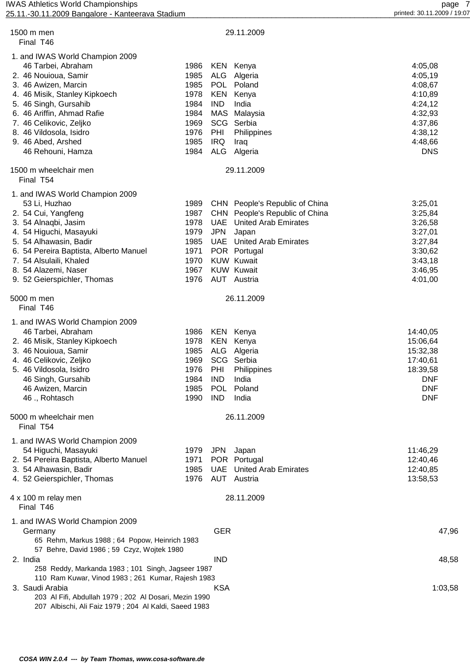| 1500 m men<br>Final T46                                                                                                                                                                                                                                                                        |                                                                              |                                                             | 29.11.2009                                                                                                                                                                                                |                                                                                                               |
|------------------------------------------------------------------------------------------------------------------------------------------------------------------------------------------------------------------------------------------------------------------------------------------------|------------------------------------------------------------------------------|-------------------------------------------------------------|-----------------------------------------------------------------------------------------------------------------------------------------------------------------------------------------------------------|---------------------------------------------------------------------------------------------------------------|
| 1. and IWAS World Champion 2009<br>46 Tarbei, Abraham<br>2. 46 Nouioua, Samir<br>3. 46 Awizen, Marcin<br>4. 46 Misik, Stanley Kipkoech<br>5. 46 Singh, Gursahib<br>6. 46 Ariffin, Ahmad Rafie<br>7. 46 Celikovic, Zeljko<br>8. 46 Vildosola, Isidro<br>9. 46 Abed, Arshed<br>46 Rehouni, Hamza | 1986<br>1985<br>1985<br>1978<br>1984<br>1984<br>1969<br>1976<br>1985<br>1984 | ALG<br>KEN<br><b>IND</b><br>SCG<br>PHI<br><b>IRQ</b><br>ALG | KEN Kenya<br>Algeria<br>POL Poland<br>Kenya<br>India<br>MAS Malaysia<br>Serbia<br>Philippines<br>Iraq<br>Algeria                                                                                          | 4:05,08<br>4:05,19<br>4:08,67<br>4:10,89<br>4:24,12<br>4:32,93<br>4:37,86<br>4:38,12<br>4:48,66<br><b>DNS</b> |
| 1500 m wheelchair men<br>Final T54                                                                                                                                                                                                                                                             |                                                                              |                                                             | 29.11.2009                                                                                                                                                                                                |                                                                                                               |
| 1. and IWAS World Champion 2009<br>53 Li, Huzhao<br>2. 54 Cui, Yangfeng<br>3. 54 Alnaqbi, Jasim<br>4. 54 Higuchi, Masayuki<br>5. 54 Alhawasin, Badir<br>6. 54 Pereira Baptista, Alberto Manuel<br>7. 54 Alsulaili, Khaled<br>8. 54 Alazemi, Naser<br>9. 52 Geierspichler, Thomas               | 1989<br>1987<br>1978<br>1979<br>1985<br>1971<br>1970<br>1967<br>1976         | <b>UAE</b><br><b>JPN</b><br>UAE                             | CHN People's Republic of China<br>CHN People's Republic of China<br><b>United Arab Emirates</b><br>Japan<br>United Arab Emirates<br>POR Portugal<br><b>KUW Kuwait</b><br><b>KUW Kuwait</b><br>AUT Austria | 3:25,01<br>3:25,84<br>3:26,58<br>3:27,01<br>3:27,84<br>3:30,62<br>3:43,18<br>3:46,95<br>4:01,00               |
| 5000 m men<br>Final T46                                                                                                                                                                                                                                                                        |                                                                              |                                                             | 26.11.2009                                                                                                                                                                                                |                                                                                                               |
| 1. and IWAS World Champion 2009<br>46 Tarbei, Abraham<br>2. 46 Misik, Stanley Kipkoech<br>3. 46 Nouioua, Samir<br>4. 46 Celikovic, Zeljko<br>5. 46 Vildosola, Isidro<br>46 Singh, Gursahib<br>46 Awizen, Marcin<br>46., Rohtasch                                                               | 1986<br>1978<br>1985<br>1969<br>1976<br>1984<br>1985<br>1990                 | KEN<br>ALG<br>PHI<br><b>IND</b><br><b>IND</b>               | <b>KEN Kenya</b><br>Kenya<br>Algeria<br>SCG Serbia<br>Philippines<br>India<br>POL Poland<br>India                                                                                                         | 14:40,05<br>15:06,64<br>15:32,38<br>17:40,61<br>18:39,58<br><b>DNF</b><br><b>DNF</b><br><b>DNF</b>            |
| 5000 m wheelchair men<br>Final T54                                                                                                                                                                                                                                                             |                                                                              |                                                             | 26.11.2009                                                                                                                                                                                                |                                                                                                               |
| 1. and IWAS World Champion 2009<br>54 Higuchi, Masayuki<br>2. 54 Pereira Baptista, Alberto Manuel<br>3. 54 Alhawasin, Badir<br>4. 52 Geierspichler, Thomas                                                                                                                                     | 1979<br>1971<br>1985<br>1976                                                 | <b>JPN</b><br>UAE                                           | Japan<br>POR Portugal<br><b>United Arab Emirates</b><br><b>AUT</b> Austria                                                                                                                                | 11:46,29<br>12:40,46<br>12:40,85<br>13:58,53                                                                  |
| 4 x 100 m relay men<br>Final T46                                                                                                                                                                                                                                                               |                                                                              |                                                             | 28.11.2009                                                                                                                                                                                                |                                                                                                               |
| 1. and IWAS World Champion 2009<br>Germany<br>65 Rehm, Markus 1988; 64 Popow, Heinrich 1983<br>57 Behre, David 1986; 59 Czyz, Wojtek 1980                                                                                                                                                      |                                                                              | <b>GER</b>                                                  |                                                                                                                                                                                                           | 47,96                                                                                                         |
| 2. India<br>258 Reddy, Markanda 1983; 101 Singh, Jagseer 1987<br>110 Ram Kuwar, Vinod 1983; 261 Kumar, Rajesh 1983                                                                                                                                                                             |                                                                              | <b>IND</b>                                                  |                                                                                                                                                                                                           | 48,58                                                                                                         |
| 3. Saudi Arabia<br>203 Al Fifi, Abdullah 1979; 202 Al Dosari, Mezin 1990<br>207 Albischi, Ali Faiz 1979; 204 Al Kaldi, Saeed 1983                                                                                                                                                              |                                                                              | <b>KSA</b>                                                  |                                                                                                                                                                                                           | 1:03,58                                                                                                       |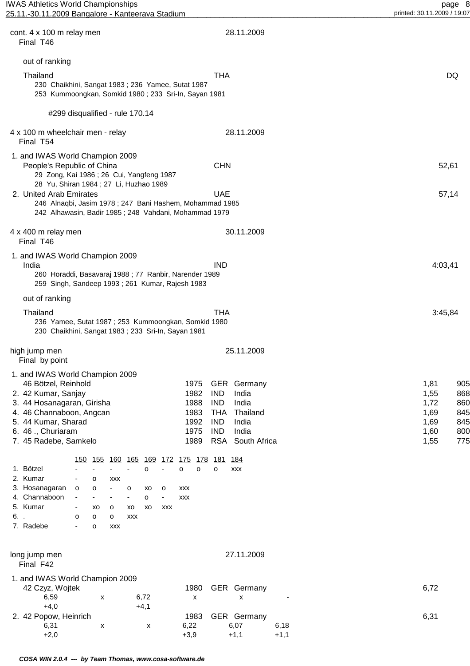| cont. 4 x 100 m relay men<br>Final T46                                                                                                                                                                        |                               |         |                                        |                                        |               |                          |                       |                                              |                                                                                  | 28.11.2009                                                       |              |        |  |                                                      |                                               |
|---------------------------------------------------------------------------------------------------------------------------------------------------------------------------------------------------------------|-------------------------------|---------|----------------------------------------|----------------------------------------|---------------|--------------------------|-----------------------|----------------------------------------------|----------------------------------------------------------------------------------|------------------------------------------------------------------|--------------|--------|--|------------------------------------------------------|-----------------------------------------------|
| out of ranking                                                                                                                                                                                                |                               |         |                                        |                                        |               |                          |                       |                                              |                                                                                  |                                                                  |              |        |  |                                                      |                                               |
| Thailand<br>230 Chaikhini, Sangat 1983; 236 Yamee, Sutat 1987<br>253 Kummoongkan, Somkid 1980; 233 Sri-In, Sayan 1981                                                                                         |                               |         |                                        |                                        |               |                          |                       |                                              | <b>THA</b>                                                                       |                                                                  |              |        |  |                                                      | DQ                                            |
| #299 disqualified - rule 170.14                                                                                                                                                                               |                               |         |                                        |                                        |               |                          |                       |                                              |                                                                                  |                                                                  |              |        |  |                                                      |                                               |
| 4 x 100 m wheelchair men - relay<br>Final T54                                                                                                                                                                 |                               |         |                                        |                                        |               |                          |                       |                                              |                                                                                  | 28.11.2009                                                       |              |        |  |                                                      |                                               |
| 1. and IWAS World Champion 2009<br>People's Republic of China<br>29 Zong, Kai 1986; 26 Cui, Yangfeng 1987<br>28 Yu, Shiran 1984 ; 27 Li, Huzhao 1989                                                          |                               |         |                                        |                                        |               |                          |                       |                                              | <b>CHN</b>                                                                       |                                                                  |              |        |  |                                                      | 52,61                                         |
| 2. United Arab Emirates<br>246 Alnaqbi, Jasim 1978; 247 Bani Hashem, Mohammad 1985<br>242 Alhawasin, Badir 1985; 248 Vahdani, Mohammad 1979                                                                   |                               |         |                                        |                                        |               |                          |                       |                                              | <b>UAE</b>                                                                       |                                                                  |              |        |  |                                                      | 57,14                                         |
| 4 x 400 m relay men<br>Final T46                                                                                                                                                                              |                               |         |                                        |                                        |               |                          |                       |                                              |                                                                                  | 30.11.2009                                                       |              |        |  |                                                      |                                               |
| 1. and IWAS World Champion 2009<br>India<br>260 Horaddi, Basavaraj 1988 ; 77 Ranbir, Narender 1989<br>259 Singh, Sandeep 1993; 261 Kumar, Rajesh 1983                                                         |                               |         |                                        |                                        |               |                          |                       |                                              | <b>IND</b>                                                                       |                                                                  |              |        |  | 4:03,41                                              |                                               |
| out of ranking                                                                                                                                                                                                |                               |         |                                        |                                        |               |                          |                       |                                              |                                                                                  |                                                                  |              |        |  |                                                      |                                               |
| Thailand<br>236 Yamee, Sutat 1987; 253 Kummoongkan, Somkid 1980<br>230 Chaikhini, Sangat 1983; 233 Sri-In, Sayan 1981                                                                                         |                               |         |                                        |                                        |               |                          |                       |                                              | <b>THA</b>                                                                       |                                                                  |              |        |  | 3:45,84                                              |                                               |
| high jump men<br>Final by point                                                                                                                                                                               |                               |         |                                        |                                        |               |                          |                       |                                              |                                                                                  | 25.11.2009                                                       |              |        |  |                                                      |                                               |
| 1. and IWAS World Champion 2009<br>46 Bötzel, Reinhold<br>2. 42 Kumar, Sanjay<br>3. 44 Hosanagaran, Girisha<br>4. 46 Channaboon, Angcan<br>5. 44 Kumar, Sharad<br>6. 46 ., Churiaram<br>7. 45 Radebe, Samkelo |                               |         |                                        |                                        |               |                          |                       | 1982<br>1988<br>1983<br>1992<br>1975<br>1989 | <b>IND</b><br><b>IND</b><br><b>THA</b><br><b>IND</b><br><b>IND</b><br><b>RSA</b> | 1975 GER Germany<br>India<br>India<br>Thailand<br>India<br>India | South Africa |        |  | 1,81<br>1,55<br>1,72<br>1,69<br>1,69<br>1,60<br>1,55 | 905<br>868<br>860<br>845<br>845<br>800<br>775 |
|                                                                                                                                                                                                               |                               |         |                                        | <u>150 155 160 165 169 172 175 178</u> |               |                          |                       |                                              | <u>181</u> 184                                                                   |                                                                  |              |        |  |                                                      |                                               |
| 1. Bötzel<br>2. Kumar<br>3. Hosanagaran                                                                                                                                                                       | $\circ$                       | o<br>o  | <b>XXX</b><br>$\overline{\phantom{a}}$ | o                                      | $\circ$<br>XO | $\blacksquare$<br>o      | $\circ$<br><b>XXX</b> | $\circ$                                      | $\circ$                                                                          | XXX                                                              |              |        |  |                                                      |                                               |
| 4. Channaboon                                                                                                                                                                                                 | $\overline{\phantom{a}}$      | ÷,      |                                        | $\qquad \qquad \blacksquare$           | $\mathsf{o}$  | $\overline{\phantom{a}}$ | <b>XXX</b>            |                                              |                                                                                  |                                                                  |              |        |  |                                                      |                                               |
| 5. Kumar<br>6                                                                                                                                                                                                 | $\overline{\phantom{a}}$<br>o | XO<br>o | o<br>o                                 | xo<br><b>XXX</b>                       | XO            | <b>XXX</b>               |                       |                                              |                                                                                  |                                                                  |              |        |  |                                                      |                                               |
| 7. Radebe                                                                                                                                                                                                     |                               | o       | <b>XXX</b>                             |                                        |               |                          |                       |                                              |                                                                                  |                                                                  |              |        |  |                                                      |                                               |
| long jump men<br>Final F42                                                                                                                                                                                    |                               |         |                                        |                                        |               |                          |                       |                                              |                                                                                  | 27.11.2009                                                       |              |        |  |                                                      |                                               |
| 1. and IWAS World Champion 2009<br>42 Czyz, Wojtek<br>6,59                                                                                                                                                    |                               | x       |                                        |                                        | 6,72          |                          |                       | 1980<br>X                                    |                                                                                  | GER Germany<br>x                                                 |              |        |  | 6,72                                                 |                                               |
| $+4,0$<br>2. 42 Popow, Heinrich<br>6,31                                                                                                                                                                       |                               | х       |                                        |                                        | $+4,1$<br>x   |                          | 6,22                  | 1983                                         |                                                                                  | GER Germany<br>6,07                                              |              | 6,18   |  | 6,31                                                 |                                               |
| $+2,0$                                                                                                                                                                                                        |                               |         |                                        |                                        |               |                          | $+3,9$                |                                              |                                                                                  | $+1,1$                                                           |              | $+1,1$ |  |                                                      |                                               |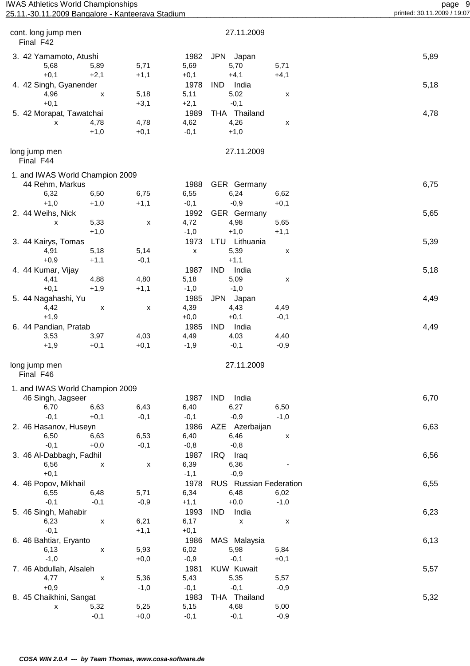| <b>IWAS Athletics World Championships</b>        |
|--------------------------------------------------|
| 25.11.-30.11.2009 Bangalore - Kanteerava Stadium |

| cont. long jump men<br>Final F42 |        |                    |              | 27.11.2009             |        |      |
|----------------------------------|--------|--------------------|--------------|------------------------|--------|------|
| 3. 42 Yamamoto, Atushi           |        |                    | 1982         | JPN Japan              |        | 5,89 |
| 5,68                             | 5,89   | 5,71               | 5,69         | 5,70                   | 5,71   |      |
| $+0,1$                           | $+2,1$ | $+1,1$             | $+0,1$       | $+4,1$                 | $+4,1$ |      |
| 4. 42 Singh, Gyanender           |        |                    | 1978         | <b>IND</b><br>India    |        | 5,18 |
| 4,96                             | X      | 5,18               | 5,11         | 5,02                   | х      |      |
| $+0,1$                           |        | $+3,1$             | $+2,1$       | $-0,1$                 |        |      |
| 5. 42 Morapat, Tawatchai         |        |                    | 1989         | THA Thailand           |        | 4,78 |
| x                                | 4,78   | 4,78               | 4,62         | 4,26                   | х      |      |
|                                  | $+1,0$ | $+0,1$             | $-0,1$       | $+1,0$                 |        |      |
|                                  |        |                    |              |                        |        |      |
| long jump men<br>Final F44       |        |                    |              | 27.11.2009             |        |      |
| 1. and IWAS World Champion 2009  |        |                    |              |                        |        |      |
| 44 Rehm, Markus                  |        |                    | 1988         | GER Germany            |        | 6,75 |
| 6,32                             | 6,50   | 6,75               | 6,55         | 6,24                   | 6,62   |      |
| $+1,0$                           | $+1,0$ | $+1,1$             | $-0,1$       | $-0,9$                 | $+0,1$ |      |
| 2. 44 Weihs, Nick                |        |                    | 1992         | GER Germany            |        | 5,65 |
| X                                | 5,33   | X                  | 4,72         | 4,98                   | 5,65   |      |
|                                  | $+1,0$ |                    | $-1,0$       | $+1,0$                 | $+1,1$ |      |
| 3. 44 Kairys, Tomas              |        |                    | 1973         | LTU Lithuania          |        | 5,39 |
| 4,91                             | 5,18   | 5,14               |              | 5,39                   |        |      |
| $+0,9$                           | $+1,1$ | $-0,1$             | Х            | $+1,1$                 | х      |      |
|                                  |        |                    |              |                        |        |      |
| 4. 44 Kumar, Vijay               |        |                    | 1987         | <b>IND</b><br>India    |        | 5,18 |
| 4,41                             | 4,88   | 4,80               | 5,18         | 5,09                   | X      |      |
| $+0,1$                           | $+1,9$ | $+1,1$             | $-1,0$       | $-1,0$                 |        |      |
| 5. 44 Nagahashi, Yu              |        |                    | 1985         | <b>JPN</b><br>Japan    |        | 4,49 |
| 4,42                             | х      | х                  | 4,39         | 4,43                   | 4,49   |      |
| $+1,9$                           |        |                    | $+0,0$       | $+0,1$                 | $-0,1$ |      |
| 6. 44 Pandian, Pratab            |        |                    | 1985         | India<br><b>IND</b>    |        | 4,49 |
| 3,53                             | 3,97   | 4,03               | 4,49         | 4,03                   | 4,40   |      |
| $+1,9$                           | $+0,1$ | $+0,1$             | $-1,9$       | $-0,1$                 | $-0,9$ |      |
| long jump men<br>Final F46       |        |                    |              | 27.11.2009             |        |      |
| 1. and IWAS World Champion 2009  |        |                    |              |                        |        |      |
| 46 Singh, Jagseer                |        |                    | 1987         | <b>IND</b><br>India    |        | 6,70 |
| 6,70                             | 6,63   | 6,43               | 6,40         | 6,27                   | 6,50   |      |
| $-0,1$                           | $+0,1$ | $-0,1$             | $-0,1$       | $-0,9$                 | $-1,0$ |      |
| 2. 46 Hasanov, Huseyn            |        |                    | 1986         | Azerbaijan<br>AZE      |        | 6,63 |
| 6,50                             | 6,63   | 6,53               | 6,40         | 6,46                   | X      |      |
| $-0,1$                           | $+0,0$ | $-0,1$             | $-0,8$       | $-0,8$                 |        |      |
| 3. 46 Al-Dabbagh, Fadhil         |        |                    | 1987         | IRQ<br>Iraq            |        | 6,56 |
| 6,56                             | X      | $\pmb{\mathsf{x}}$ | 6,39         | 6,36                   |        |      |
| $+0,1$                           |        |                    | $-1,1$       | $-0,9$                 |        |      |
|                                  |        |                    | 1978         | RUS Russian Federation |        |      |
| 4. 46 Popov, Mikhail<br>6,55     | 6,48   | 5,71               | 6,34         | 6,48                   | 6,02   | 6,55 |
| $-0,1$                           | $-0,1$ | $-0,9$             | $+1,1$       | $+0,0$                 | $-1,0$ |      |
|                                  |        |                    |              |                        |        |      |
| 5. 46 Singh, Mahabir             |        | 6,21               | 1993<br>6,17 | <b>IND</b><br>India    |        | 6,23 |
| 6,23                             | X      |                    |              | x                      | X      |      |
| $-0,1$                           |        | $+1,1$             | $+0,1$       |                        |        |      |
| 6. 46 Bahtiar, Eryanto           |        |                    | 1986         | MAS Malaysia           |        | 6,13 |
| 6, 13                            | X      | 5,93               | 6,02         | 5,98                   | 5,84   |      |
| $-1,0$                           |        | $+0,0$             | $-0,9$       | $-0,1$                 | $+0,1$ |      |
| 7. 46 Abdullah, Alsaleh          |        |                    | 1981         | <b>KUW Kuwait</b>      |        | 5,57 |
| 4,77                             | X      | 5,36               | 5,43         | 5,35                   | 5,57   |      |
| $+0,9$                           |        | $-1,0$             | $-0,1$       | $-0,1$                 | $-0,9$ |      |
| 8. 45 Chaikhini, Sangat          |        |                    | 1983         | THA Thailand           |        | 5,32 |
| X                                | 5,32   | 5,25               | 5,15         | 4,68                   | 5,00   |      |
|                                  | $-0,1$ | $+0,0$             | $-0,1$       | $-0,1$                 | $-0,9$ |      |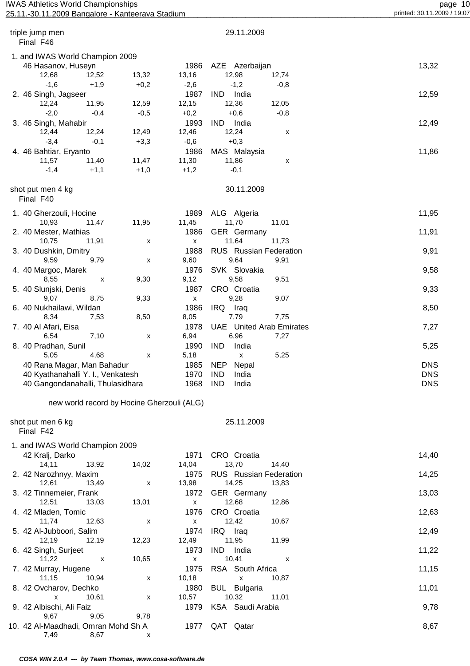# page 10<br>10 page 10 page 10 page 10 page 10 page 10 page 10 page 10 page 10 page 10 page 10 page 10 page 10 page 10 page 10 page 10 page 10 page 10 page 10 page 10 printed: 30.11.2009 / 19:07 25.11.-30.11.2009 Bangalore - Kanteerava Stadium

| triple jump men<br>Final F46              |                                            |           | 29.11.2009                      |            |
|-------------------------------------------|--------------------------------------------|-----------|---------------------------------|------------|
| 1. and IWAS World Champion 2009           |                                            |           |                                 |            |
| 46 Hasanov, Huseyn                        |                                            | 1986      | AZE Azerbaijan                  | 13,32      |
| 12,68<br>12,52                            | 13,32                                      | 13,16     | 12,98<br>12,74                  |            |
| $-1,6$<br>$+1,9$                          | $+0,2$                                     | $-2,6$    | $-1,2$<br>$-0,8$                |            |
| 2. 46 Singh, Jagseer                      |                                            | 1987      | India<br>IND.                   | 12,59      |
| 12,24<br>11,95                            | 12,59                                      | 12,15     | 12,36<br>12,05                  |            |
| $-2,0$<br>$-0,4$                          | $-0,5$                                     | $+0,2$    | $+0,6$<br>$-0,8$                |            |
| 3. 46 Singh, Mahabir                      |                                            | 1993      | IND India                       | 12,49      |
| 12,44<br>12,24                            | 12,49                                      | 12,46     | 12,24<br>х                      |            |
| $-3,4$<br>$-0,1$                          | $+3,3$                                     | $-0,6$    | $+0,3$                          |            |
| 4. 46 Bahtiar, Eryanto                    |                                            | 1986      | MAS Malaysia                    | 11,86      |
| 11,57<br>11,40                            | 11,47                                      | 11,30     | 11,86<br>х                      |            |
| $-1,4$<br>$+1,1$                          | $+1,0$                                     | $+1,2$    | $-0,1$                          |            |
| shot put men 4 kg<br>Final F40            |                                            |           | 30.11.2009                      |            |
| 1. 40 Gherzouli, Hocine                   |                                            | 1989      | ALG Algeria                     | 11,95      |
| 10,93<br>11,47                            | 11,95                                      | 11,45     | 11,70<br>11,01                  |            |
| 2. 40 Mester, Mathias                     |                                            | 1986      | <b>GER</b> Germany              | 11,91      |
| 10,75<br>11,91                            | X                                          | x         | 11,64<br>11,73                  |            |
| 3. 40 Dushkin, Dmitry                     |                                            | 1988      | RUS Russian Federation          | 9,91       |
| 9,59<br>9,79                              | X                                          | 9,60      | 9,64<br>9,91                    |            |
| 4. 40 Margoc, Marek                       |                                            | 1976      | SVK Slovakia                    | 9,58       |
| 8,55<br>X                                 | 9,30                                       | 9,12      | 9,58<br>9,51                    |            |
| 5. 40 Slunjski, Denis                     |                                            | 1987      | CRO Croatia                     | 9,33       |
| 8,75<br>9,07                              | 9,33                                       | x         | 9,28<br>9,07                    |            |
| 6. 40 Nukhailawi, Wildan                  |                                            | 1986      | IRQ<br>Iraq                     | 8,50       |
| 8,34<br>7,53                              | 8,50                                       | 8,05      | 7,79<br>7,75                    |            |
| 7. 40 Al Afari, Eisa                      |                                            | 1978      | <b>UAE</b> United Arab Emirates | 7,27       |
| 7,10<br>6,54                              | X                                          | 6,94      | 6,96<br>7,27                    |            |
| 8. 40 Pradhan, Sunil                      |                                            | 1990      | <b>IND</b><br>India             | 5,25       |
| 5,05<br>4,68                              | x                                          | 5,18      | 5,25<br>X                       |            |
| 40 Rana Magar, Man Bahadur                |                                            | 1985      | NEP<br>Nepal                    | <b>DNS</b> |
| 40 Kyathanahalli Y. I., Venkatesh         |                                            | 1970      | <b>IND</b><br>India             | <b>DNS</b> |
| 40 Gangondanahalli, Thulasidhara          |                                            | 1968      | <b>IND</b><br>India             | <b>DNS</b> |
|                                           |                                            |           |                                 |            |
|                                           | new world record by Hocine Gherzouli (ALG) |           |                                 |            |
| shot put men 6 kg<br>Final F42            |                                            |           | 25.11.2009                      |            |
|                                           |                                            |           |                                 |            |
| 1. and IWAS World Champion 2009           |                                            | 1971      |                                 |            |
| 42 Kralj, Darko<br>14, 11<br>13,92        | 14,02                                      | 14,04     | CRO Croatia<br>13,70<br>14,40   | 14,40      |
| 2. 42 Narozhnyy, Maxim                    |                                            | 1975      | RUS Russian Federation          |            |
| 12,61<br>13,49                            |                                            | 13,98     | 14,25<br>13,83                  | 14,25      |
|                                           | X                                          | 1972      | <b>GER</b> Germany              |            |
| 3. 42 Tinnemeier, Frank<br>12,51<br>13,03 | 13,01                                      |           | 12,68<br>12,86                  | 13,03      |
| 4. 42 Mladen, Tomic                       |                                            | X<br>1976 | CRO Croatia                     |            |
| 11,74<br>12,63                            | X                                          | x         | 12,42<br>10,67                  | 12,63      |
| 5. 42 Al-Jubboori, Salim                  |                                            | 1974      | IRQ Iraq                        | 12,49      |
| 12,19<br>12,19                            | 12,23                                      | 12,49     | 11,95<br>11,99                  |            |
| 6. 42 Singh, Surjeet                      |                                            | 1973      | <b>IND</b><br>India             | 11,22      |
| 11,22<br>$\boldsymbol{\mathsf{x}}$        | 10,65                                      |           | 10,41<br>X                      |            |
| 7. 42 Murray, Hugene                      |                                            | X<br>1975 | RSA South Africa                | 11,15      |
| 11,15<br>10,94                            | X                                          | 10,18     | 10,87<br>X                      |            |
| 8. 42 Ovcharov, Dechko                    |                                            | 1980      | <b>BUL</b> Bulgaria             | 11,01      |
| 10,61<br>X                                | x                                          | 10,57     | 10,32<br>11,01                  |            |
| 9. 42 Albischi, Ali Faiz                  |                                            | 1979      | KSA Saudi Arabia                | 9,78       |
| 9,67<br>9,05                              | 9,78                                       |           |                                 |            |
| 10. 42 Al-Maadhadi, Omran Mohd Sh A       |                                            | 1977      | QAT Qatar                       | 8,67       |

 **COSA WIN 2.0.4 --- by Team Thomas, www.cosa-software.de**

7,49 8,67 x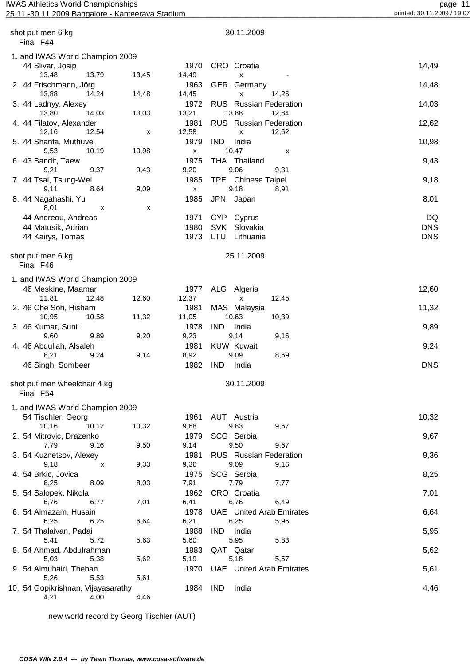#### page 11<br>page 11 page 11 page 11<br>25.11.2009 Bangalore - Kanteerava Stadium printed: 30.11.2009 / 19:07 25.11.-30.11.2009 Bangalore - Kanteerava Stadium

| shot put men 6 kg<br>Final F44                      |       |               | 30.11.2009                                                                                                                                                                                                                                                                                                                                                                     |            |
|-----------------------------------------------------|-------|---------------|--------------------------------------------------------------------------------------------------------------------------------------------------------------------------------------------------------------------------------------------------------------------------------------------------------------------------------------------------------------------------------|------------|
| 1. and IWAS World Champion 2009<br>44 Slivar, Josip |       | 1970          | CRO Croatia                                                                                                                                                                                                                                                                                                                                                                    | 14,49      |
| 13,48<br>13,79                                      | 13,45 | 14,49         | x                                                                                                                                                                                                                                                                                                                                                                              |            |
| 2. 44 Frischmann, Jörg<br>13,88<br>14,24            | 14,48 | 1963<br>14,45 | GER Germany<br>x<br>14,26                                                                                                                                                                                                                                                                                                                                                      | 14,48      |
| 3. 44 Ladnyy, Alexey<br>14,03                       |       | 1972<br>13,21 | <b>RUS</b> Russian Federation<br>13,88                                                                                                                                                                                                                                                                                                                                         | 14,03      |
| 13,80<br>4. 44 Filatov, Alexander                   | 13,03 | 1981          | 12,84<br><b>RUS</b> Russian Federation                                                                                                                                                                                                                                                                                                                                         | 12,62      |
| 12,16<br>12,54<br>5. 44 Shanta, Muthuvel            | x     | 12,58<br>1979 | 12,62<br>x<br>IND.<br>India                                                                                                                                                                                                                                                                                                                                                    | 10,98      |
| 9,53<br>10,19<br>6. 43 Bandit, Taew                 | 10,98 | x<br>1975     | 10,47<br>х<br>THA Thailand                                                                                                                                                                                                                                                                                                                                                     | 9,43       |
| 9,21<br>9,37                                        | 9,43  | 9,20          | 9,06<br>9,31                                                                                                                                                                                                                                                                                                                                                                   |            |
| 7. 44 Tsai, Tsung-Wei<br>9,11<br>8,64               | 9,09  | 1985<br>X     | TPE Chinese Taipei<br>9,18<br>8,91                                                                                                                                                                                                                                                                                                                                             | 9,18       |
| 8. 44 Nagahashi, Yu<br>8,01<br>х                    | x     | 1985          | JPN Japan                                                                                                                                                                                                                                                                                                                                                                      | 8,01       |
| 44 Andreou, Andreas                                 |       | 1971          | CYP Cyprus                                                                                                                                                                                                                                                                                                                                                                     | DQ         |
| 44 Matusik, Adrian                                  |       | 1980          | <b>SVK</b><br>Slovakia                                                                                                                                                                                                                                                                                                                                                         | <b>DNS</b> |
| 44 Kairys, Tomas                                    |       | 1973          | LTU Lithuania                                                                                                                                                                                                                                                                                                                                                                  | <b>DNS</b> |
|                                                     |       |               |                                                                                                                                                                                                                                                                                                                                                                                |            |
| shot put men 6 kg<br>Final F46                      |       |               | 25.11.2009                                                                                                                                                                                                                                                                                                                                                                     |            |
| 1. and IWAS World Champion 2009                     |       |               |                                                                                                                                                                                                                                                                                                                                                                                |            |
| 46 Meskine, Maamar                                  |       | 1977          | ALG Algeria                                                                                                                                                                                                                                                                                                                                                                    | 12,60      |
| 11,81<br>12,48                                      | 12,60 | 12,37         | 12,45<br>X                                                                                                                                                                                                                                                                                                                                                                     |            |
| 2. 46 Che Soh, Hisham                               |       | 1981          | MAS Malaysia                                                                                                                                                                                                                                                                                                                                                                   | 11,32      |
| 10,95<br>10,58                                      | 11,32 | 11,05         | 10,63<br>10,39                                                                                                                                                                                                                                                                                                                                                                 |            |
| 3. 46 Kumar, Sunil                                  |       | 1978          | <b>IND</b><br>India                                                                                                                                                                                                                                                                                                                                                            | 9,89       |
| 9,60<br>9,89                                        | 9,20  | 9,23          | 9,14<br>9,16                                                                                                                                                                                                                                                                                                                                                                   |            |
| 4. 46 Abdullah, Alsaleh                             |       | 1981          | <b>KUW Kuwait</b>                                                                                                                                                                                                                                                                                                                                                              | 9,24       |
| 8,21<br>9,24                                        | 9,14  | 8,92          | 9,09<br>8,69                                                                                                                                                                                                                                                                                                                                                                   |            |
| 46 Singh, Sombeer                                   |       | 1982          | <b>IND</b><br>India                                                                                                                                                                                                                                                                                                                                                            | <b>DNS</b> |
| shot put men wheelchair 4 kg<br>Final F54           |       |               | 30.11.2009                                                                                                                                                                                                                                                                                                                                                                     |            |
|                                                     |       |               |                                                                                                                                                                                                                                                                                                                                                                                |            |
| 1. and IWAS World Champion 2009                     |       |               |                                                                                                                                                                                                                                                                                                                                                                                |            |
| 54 Tischler, Georg                                  |       | 1961          | AUT Austria                                                                                                                                                                                                                                                                                                                                                                    | 10,32      |
| 10,16<br>10,12                                      | 10,32 | 9,68<br>1979  | 9,83<br>9,67<br>SCG Serbia                                                                                                                                                                                                                                                                                                                                                     |            |
| 2. 54 Mitrovic, Drazenko<br>7,79<br>9,16            | 9,50  | 9,14          | 9,67<br>9,50                                                                                                                                                                                                                                                                                                                                                                   | 9,67       |
|                                                     |       |               |                                                                                                                                                                                                                                                                                                                                                                                |            |
| 3. 54 Kuznetsov, Alexey                             | 9,33  | 1981          | RUS Russian Federation                                                                                                                                                                                                                                                                                                                                                         | 9,36       |
| 9,18<br>X                                           |       | 9,36          | 9,09<br>9,16                                                                                                                                                                                                                                                                                                                                                                   |            |
| 4. 54 Brkic, Jovica                                 |       | 1975          | SCG Serbia                                                                                                                                                                                                                                                                                                                                                                     | 8,25       |
| 8,25<br>8,09                                        | 8,03  | 7,91          | 7,79<br>7,77                                                                                                                                                                                                                                                                                                                                                                   |            |
| 5. 54 Salopek, Nikola                               |       | 1962          | CRO Croatia                                                                                                                                                                                                                                                                                                                                                                    | 7,01       |
| 6,76<br>6,77                                        | 7,01  | 6,41          | 6,76<br>6,49                                                                                                                                                                                                                                                                                                                                                                   |            |
| 6. 54 Almazam, Husain                               |       | 1978          | <b>UAE</b> United Arab Emirates                                                                                                                                                                                                                                                                                                                                                | 6,64       |
| 6,25<br>6,25                                        | 6,64  | 6,21          | 6,25<br>5,96                                                                                                                                                                                                                                                                                                                                                                   |            |
| 7. 54 Thalaivan, Padai                              |       | 1988          | India<br><b>IND</b>                                                                                                                                                                                                                                                                                                                                                            | 5,95       |
| 5,41<br>5,72                                        | 5,63  | 5,60          | 5,95<br>5,83                                                                                                                                                                                                                                                                                                                                                                   |            |
| 8. 54 Ahmad, Abdulrahman                            |       | 1983          | QAT Qatar                                                                                                                                                                                                                                                                                                                                                                      | 5,62       |
| 5,38<br>5,03                                        | 5,62  | 5,19          | 5,18<br>5,57                                                                                                                                                                                                                                                                                                                                                                   |            |
| 9. 54 Almuhairi, Theban                             |       | 1970          | <b>UAE</b> United Arab Emirates                                                                                                                                                                                                                                                                                                                                                | 5,61       |
| 5,26<br>5,53                                        | 5,61  |               |                                                                                                                                                                                                                                                                                                                                                                                |            |
| Conitrichnon Viintogenthu                           |       |               | $1004$ $\overline{1}$ $\overline{1}$ $\overline{1}$ $\overline{1}$ $\overline{1}$ $\overline{1}$ $\overline{1}$ $\overline{1}$ $\overline{1}$ $\overline{1}$ $\overline{1}$ $\overline{1}$ $\overline{1}$ $\overline{1}$ $\overline{1}$ $\overline{1}$ $\overline{1}$ $\overline{1}$ $\overline{1}$ $\overline{1}$ $\overline{1}$ $\overline{1}$ $\overline{1}$ $\overline{1}$ | $A$ $AC$   |

10. 54 Gopikrishnan, Vijayasarathy 1984 IND India 4,46  $4,21$   $4,00$ 

new world record by Georg Tischler (AUT)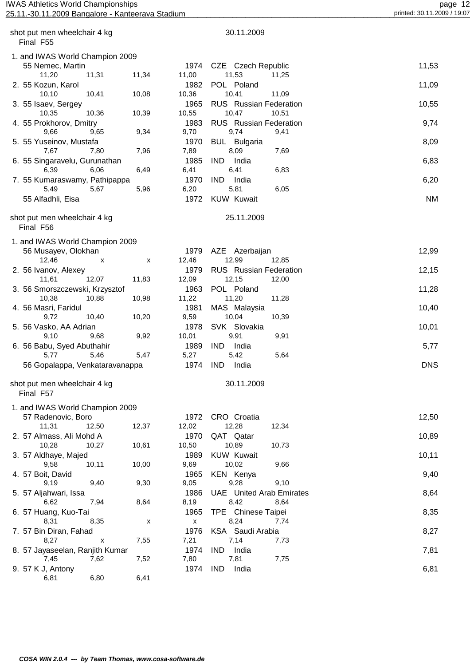# page 12<br>page 12 page 12<br><u>25.11.-30.11.2009 Bangalore - Kanteerava Stadium</u> page 12 printed: 30.11.2009 / 19:07 25.11.-30.11.2009 Bangalore - Kanteerava Stadium

| shot put men wheelchair 4 kg<br>Final F55                 |                      | 30.11.2009                                      |            |
|-----------------------------------------------------------|----------------------|-------------------------------------------------|------------|
|                                                           |                      |                                                 |            |
| 1. and IWAS World Champion 2009<br>55 Nemec, Martin       | 1974                 | CZE Czech Republic                              | 11,53      |
| 11,20<br>11,31<br>11,34<br>2. 55 Kozun, Karol             | 11,00<br>1982        | 11,53<br>11,25<br>POL Poland                    | 11,09      |
| 10, 10<br>10,08<br>10,41<br>3. 55 Isaev, Sergey           | 10,36<br>1965        | 10,41<br>11,09<br><b>RUS</b> Russian Federation | 10,55      |
| 10,35<br>10,39<br>10,36<br>4. 55 Prokhorov, Dmitry        | 10,55<br>1983        | 10,47<br>10,51<br><b>RUS</b> Russian Federation | 9,74       |
| 9,34<br>9,66<br>9,65<br>5. 55 Yuseinov, Mustafa           | 9,70<br>1970         | 9,74<br>9,41<br><b>BUL</b> Bulgaria             | 8,09       |
| 7,96<br>7,67<br>7,80<br>6. 55 Singaravelu, Gurunathan     | 7,89<br>1985         | 8,09<br>7,69<br><b>IND</b><br>India             | 6,83       |
| 6,39<br>6,06<br>6,49<br>7. 55 Kumaraswamy, Pathipappa     | 6,41<br>1970         | 6,41<br>6,83<br><b>IND</b><br>India             | 6,20       |
| 5,67<br>5,96<br>5,49                                      | 6,20                 | 5,81<br>6,05                                    |            |
| 55 Alfadhli, Eisa                                         | 1972                 | <b>KUW Kuwait</b>                               | <b>NM</b>  |
| shot put men wheelchair 4 kg<br>Final F56                 |                      | 25.11.2009                                      |            |
| 1. and IWAS World Champion 2009<br>56 Musayev, Olokhan    | 1979                 | AZE Azerbaijan                                  | 12,99      |
| 12,46<br>$\pmb{\mathsf{X}}$<br>X                          | 12,46                | 12,99<br>12,85                                  |            |
| 2. 56 Ivanov, Alexey<br>11,83<br>11,61<br>12,07           | 1979<br>12,09        | <b>RUS</b> Russian Federation<br>12,15<br>12,00 | 12,15      |
| 3. 56 Smorszczewski, Krzysztof<br>10,38<br>10,88<br>10,98 | 1963<br>11,22        | POL Poland<br>11,20<br>11,28                    | 11,28      |
| 4. 56 Masri, Faridul                                      | 1981                 | MAS Malaysia                                    | 10,40      |
| 9,72<br>10,40<br>10,20<br>5. 56 Vasko, AA Adrian          | 9,59<br>1978         | 10,04<br>10,39<br>SVK Slovakia                  | 10,01      |
| 9,10<br>9,68<br>9,92<br>6. 56 Babu, Syed Abuthahir        | 10,01<br>1989        | 9,91<br>9,91<br><b>IND</b><br>India             | 5,77       |
| 5,77<br>5,46<br>5,47                                      | 5,27                 | 5,42<br>5,64                                    |            |
| 56 Gopalappa, Venkataravanappa                            | 1974                 | <b>IND</b><br>India                             | <b>DNS</b> |
| shot put men wheelchair 4 kg<br>Final F57                 |                      | 30.11.2009                                      |            |
| 1. and IWAS World Champion 2009                           |                      |                                                 |            |
| 57 Radenovic, Boro<br>12,37<br>11,31<br>12,50             | 1972<br>12,02        | CRO Croatia<br>12,28<br>12,34                   | 12,50      |
| 2. 57 Almass, Ali Mohd A                                  | 1970                 | QAT Qatar                                       | 10,89      |
| 10,61<br>10,28<br>10,27<br>3. 57 Aldhaye, Majed           | 10,50<br>1989        | 10,89<br>10,73<br><b>KUW Kuwait</b>             | 10,11      |
| 10,00<br>9,58<br>10,11<br>4. 57 Boit, David               | 9,69<br>1965         | 10,02<br>9,66<br>KEN Kenya                      | 9,40       |
| 9,30<br>9,19<br>9,40                                      | 9,05                 | 9,28<br>9,10                                    |            |
| 5. 57 Aljahwari, Issa<br>7,94<br>8,64<br>6,62             | 1986<br>8,19         | <b>UAE</b> United Arab Emirates<br>8,42<br>8,64 | 8,64       |
| 6. 57 Huang, Kuo-Tai                                      | 1965                 | TPE Chinese Taipei                              | 8,35       |
| 8,31<br>8,35<br>Х<br>7. 57 Bin Diran, Fahad               | $\mathsf{x}$<br>1976 | 8,24<br>7,74<br>KSA Saudi Arabia                | 8,27       |
| 7,55<br>8,27<br>X<br>8. 57 Jayaseelan, Ranjith Kumar      | 7,21<br>1974         | 7,14<br>7,73<br><b>IND</b><br>India             | 7,81       |
| 7,52<br>7,45<br>7,62                                      | 7,80                 | 7,81<br>7,75                                    |            |
| 9. 57 K J, Antony<br>6,80<br>6,41<br>6,81                 | 1974                 | <b>IND</b><br>India                             | 6,81       |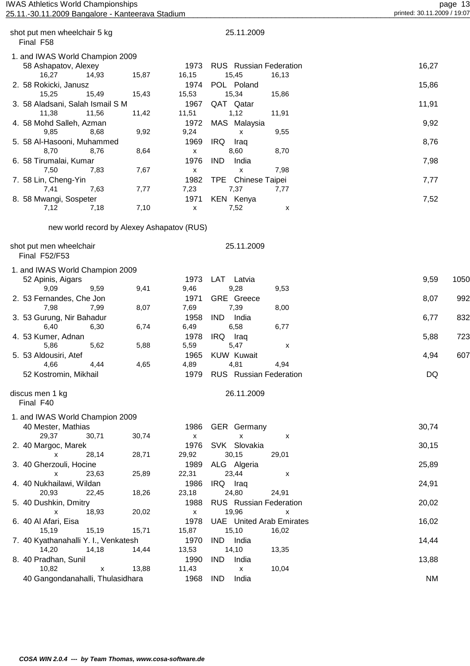### page 13<br>25.11.2009 Bangalore - Kanteerava Stadium<br>25.11.2009 Printed: 30.11.2009 Bangalore - Kanteerava Stadium 25.11.-30.11.2009 Bangalore - Kanteerava Stadium

| shot put men wheelchair 5 kg<br>Final F58 |                                            |                    | 25.11.2009                                      |       |      |
|-------------------------------------------|--------------------------------------------|--------------------|-------------------------------------------------|-------|------|
| 1. and IWAS World Champion 2009           |                                            |                    |                                                 |       |      |
| 58 Ashapatov, Alexey<br>16,27<br>14,93    | 15,87                                      | 1973<br>16,15      | <b>RUS</b> Russian Federation<br>15,45<br>16,13 | 16,27 |      |
| 2. 58 Rokicki, Janusz                     |                                            | 1974               | POL Poland                                      | 15,86 |      |
| 15,25<br>15,49                            | 15,43                                      | 15,53              | 15,34<br>15,86                                  |       |      |
| 3. 58 Aladsani, Salah Ismail S M          |                                            | 1967               | QAT Qatar                                       | 11,91 |      |
| 11,38<br>11,56                            | 11,42                                      | 11,51              | 1,12<br>11,91                                   |       |      |
| 4. 58 Mohd Salleh, Azman                  |                                            | 1972               | MAS Malaysia                                    | 9,92  |      |
| 9,85<br>8,68                              | 9,92                                       | 9,24               | 9,55<br>x                                       |       |      |
| 5. 58 Al-Hasooni, Muhammed                |                                            | 1969               | IRQ.<br>Iraq                                    | 8,76  |      |
| 8,70<br>8,76                              | 8,64                                       | X                  | 8,60<br>8,70                                    |       |      |
| 6. 58 Tirumalai, Kumar                    |                                            | 1976               | <b>IND</b><br>India                             | 7,98  |      |
| 7,50<br>7,83                              | 7,67                                       | X                  | 7,98<br>X                                       |       |      |
| 7. 58 Lin, Cheng-Yin                      |                                            | 1982               | Chinese Taipei<br>TPE                           | 7,77  |      |
| 7,63<br>7,41                              | 7,77                                       | 7,23               | 7,37<br>7,77                                    |       |      |
| 8. 58 Mwangi, Sospeter                    |                                            | 1971               | <b>KEN Kenya</b>                                | 7,52  |      |
| 7,12<br>7,18                              | 7,10                                       | X                  | 7,52<br>X                                       |       |      |
|                                           |                                            |                    |                                                 |       |      |
|                                           | new world record by Alexey Ashapatov (RUS) |                    |                                                 |       |      |
| shot put men wheelchair                   |                                            |                    | 25.11.2009                                      |       |      |
| Final F52/F53                             |                                            |                    |                                                 |       |      |
| 1. and IWAS World Champion 2009           |                                            |                    |                                                 |       |      |
| 52 Apinis, Aigars                         |                                            | 1973               | LAT Latvia                                      | 9,59  | 1050 |
| 9,09<br>9,59                              | 9,41                                       | 9,46               | 9,28<br>9,53                                    |       |      |
| 2. 53 Fernandes, Che Jon                  |                                            | 1971               | <b>GRE</b> Greece                               | 8,07  | 992  |
| 7,98<br>7,99                              | 8,07                                       | 7,69               | 7,39<br>8,00                                    |       |      |
| 3. 53 Gurung, Nir Bahadur                 |                                            | 1958               | IND.<br>India                                   | 6,77  | 832  |
| 6,40<br>6,30                              | 6,74                                       | 6,49               | 6,58                                            |       |      |
|                                           |                                            |                    | 6,77                                            |       |      |
| 4. 53 Kumer, Adnan                        |                                            | 1978               | IRQ<br>Iraq                                     | 5,88  | 723  |
| 5,86<br>5,62                              | 5,88                                       | 5,59               | 5,47<br>х                                       |       |      |
| 5. 53 Aldousiri, Atef                     |                                            | 1965               | <b>KUW Kuwait</b>                               | 4,94  | 607  |
| 4,66<br>4,44                              | 4,65                                       | 4,89               | 4,81<br>4,94                                    |       |      |
| 52 Kostromin, Mikhail                     |                                            |                    | 1979 RUS Russian Federation                     | DQ    |      |
| discus men 1 kg                           |                                            |                    | 26.11.2009                                      |       |      |
| Final F40                                 |                                            |                    |                                                 |       |      |
| 1. and IWAS World Champion 2009           |                                            |                    |                                                 |       |      |
| 40 Mester, Mathias                        |                                            | 1986               |                                                 | 30,74 |      |
|                                           |                                            |                    | <b>GER</b> Germany                              |       |      |
| 29,37<br>30,71                            | 30,74                                      | $\pmb{\mathsf{x}}$ | $\pmb{\mathsf{X}}$<br>х                         |       |      |
| 2. 40 Margoc, Marek                       |                                            | 1976               | SVK Slovakia                                    | 30,15 |      |
| x<br>28,14                                | 28,71                                      | 29,92              | 30,15<br>29,01                                  |       |      |
| 3. 40 Gherzouli, Hocine                   |                                            | 1989               | ALG Algeria                                     | 25,89 |      |
| 23,63<br>$\mathsf{x}$                     | 25,89                                      | 22,31              | 23,44<br>X                                      |       |      |
| 4. 40 Nukhailawi, Wildan                  |                                            | 1986               | IRQ Iraq                                        | 24,91 |      |
| 20,93<br>22,45                            | 18,26                                      | 23,18              | 24,80<br>24,91                                  |       |      |
| 5. 40 Dushkin, Dmitry                     |                                            | 1988               | <b>RUS</b> Russian Federation                   | 20,02 |      |
| X<br>18,93                                | 20,02                                      | $\pmb{\mathsf{X}}$ | 19,96<br>x                                      |       |      |
| 6. 40 Al Afari, Eisa                      |                                            | 1978               | <b>UAE</b> United Arab Emirates                 | 16,02 |      |
| 15,19<br>15,19                            | 15,71                                      | 15,87              | 15,10<br>16,02                                  |       |      |
| 7. 40 Kyathanahalli Y. I., Venkatesh      |                                            | 1970               | IND India                                       | 14,44 |      |
| 14,20<br>14,18                            | 14,44                                      | 13,53              | 14,10<br>13,35                                  |       |      |
|                                           |                                            |                    |                                                 |       |      |

8. 40 Pradhan, Sunil 1990 IND India 10.82 13,88 13,88 11.43 10.04

40 Gangondanahalli, Thulasidhara 1968 IND India 1968 IND Shane NM

 **COSA WIN 2.0.4 --- by Team Thomas, www.cosa-software.de**

14,20 14,18 14,44 13,53 14,10

veradhan, Sunil (1990 IND India<br>10,82 x 13,88 11,43 x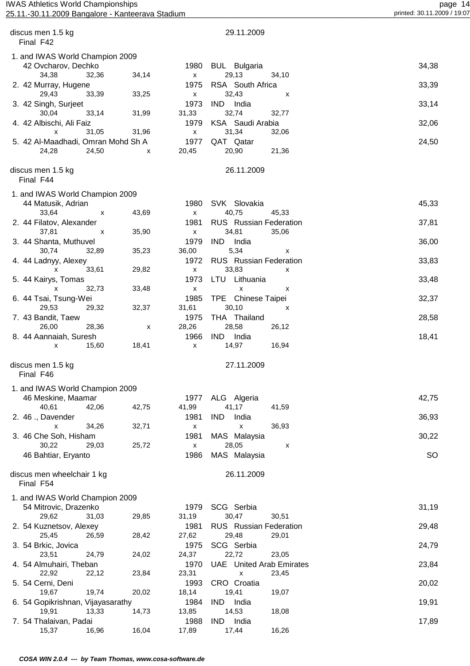#### page 14<br>page 14<br><u>25.11.-30.11.2009 Bangalore - Kanteerava Stadium page 14</u> printed: 30.11.2009 / 19:07 25.11.-30.11.2009 Bangalore - Kanteerava Stadium

| discus men 1.5 kg                                    |       |               | 29.11.2009                                    |           |
|------------------------------------------------------|-------|---------------|-----------------------------------------------|-----------|
| Final F42                                            |       |               |                                               |           |
| 1. and IWAS World Champion 2009                      |       |               |                                               |           |
| 42 Ovcharov, Dechko                                  |       | 1980          | <b>BUL</b> Bulgaria                           | 34,38     |
| 34,38<br>32,36                                       | 34,14 | x             | 29,13<br>34,10<br>RSA South Africa            |           |
| 2. 42 Murray, Hugene<br>29,43<br>33,39               | 33,25 | 1975<br>x     | 32,43<br>х                                    | 33,39     |
| 3. 42 Singh, Surjeet                                 |       | 1973          | <b>IND</b><br>India                           | 33,14     |
| 33,14<br>30,04                                       | 31,99 | 31,33         | 32,74<br>32,77                                |           |
| 4. 42 Albischi, Ali Faiz                             |       | 1979          | KSA Saudi Arabia                              | 32,06     |
| 31,05<br>x                                           | 31,96 | X             | 31,34<br>32,06                                |           |
| 5. 42 Al-Maadhadi, Omran Mohd Sh A<br>24,28<br>24,50 | x     | 1977<br>20,45 | QAT Qatar<br>20,90<br>21,36                   | 24,50     |
|                                                      |       |               |                                               |           |
| discus men 1.5 kg<br>Final F44                       |       |               | 26.11.2009                                    |           |
| 1. and IWAS World Champion 2009                      |       |               |                                               |           |
| 44 Matusik, Adrian                                   |       | 1980          | SVK Slovakia                                  | 45,33     |
| 33,64<br>х                                           | 43,69 | x             | 40,75<br>45,33                                |           |
| 2. 44 Filatov, Alexander                             |       | 1981          | <b>RUS</b> Russian Federation                 | 37,81     |
| 37,81<br>х                                           | 35,90 | X.            | 34,81<br>35,06                                |           |
| 3. 44 Shanta, Muthuvel<br>30,74<br>32,89             | 35,23 | 1979<br>36,00 | IND.<br>India<br>5,34<br>x                    | 36,00     |
| 4. 44 Ladnyy, Alexey                                 |       | 1972          | <b>RUS</b> Russian Federation                 | 33,83     |
| 33,61<br>X                                           | 29,82 | X.            | 33,83<br>x                                    |           |
| 5. 44 Kairys, Tomas                                  |       | 1973          | LTU<br>Lithuania                              | 33,48     |
| 32,73<br>x                                           | 33,48 | x             | x<br>x<br>TPE                                 |           |
| 6. 44 Tsai, Tsung-Wei<br>29,53<br>29,32              | 32,37 | 1985<br>31,61 | Chinese Taipei<br>30,10<br>х                  | 32,37     |
| 7. 43 Bandit, Taew                                   |       | 1975          | THA Thailand                                  | 28,58     |
| 26,00<br>28,36                                       | х     | 28,26         | 28,58<br>26,12                                |           |
| 8. 44 Aannaiah, Suresh                               |       | 1966          | IND.<br>India                                 | 18,41     |
| 15,60<br>x                                           | 18,41 | x             | 14,97<br>16,94                                |           |
| discus men 1.5 kg                                    |       |               | 27.11.2009                                    |           |
| Final F46                                            |       |               |                                               |           |
| 1. and IWAS World Champion 2009                      |       |               |                                               |           |
| 46 Meskine, Maamar                                   |       | 1977          | ALG Algeria                                   | 42,75     |
| 40,61<br>42,06                                       | 42,75 | 41,99         | 41,17<br>41,59                                |           |
| 2. 46 ., Davender                                    |       | 1981          | <b>IND</b><br>India                           | 36,93     |
| 34,26<br>X<br>3. 46 Che Soh, Hisham                  | 32,71 | x<br>1981     | 36,93<br>x<br>MAS Malaysia                    | 30,22     |
| 30,22<br>29,03                                       | 25,72 | X             | 28,05<br>х                                    |           |
| 46 Bahtiar, Eryanto                                  |       | 1986          | MAS Malaysia                                  | <b>SO</b> |
|                                                      |       |               |                                               |           |
| discus men wheelchair 1 kg                           |       |               | 26.11.2009                                    |           |
| Final F54                                            |       |               |                                               |           |
| 1. and IWAS World Champion 2009                      |       |               |                                               |           |
| 54 Mitrovic, Drazenko<br>29,62<br>31,03              | 29,85 | 1979<br>31,19 | SCG Serbia<br>30,47<br>30,51                  | 31,19     |
| 2. 54 Kuznetsov, Alexey                              |       | 1981          | <b>RUS</b> Russian Federation                 | 29,48     |
| 25,45<br>26,59                                       | 28,42 | 27,62         | 29,48<br>29,01                                |           |
| 3. 54 Brkic, Jovica                                  |       | 1975          | SCG Serbia                                    | 24,79     |
| 23,51<br>24,79                                       | 24,02 | 24,37         | 22,72<br>23,05                                |           |
| 4. 54 Almuhairi, Theban<br>22,92<br>22,12            | 23,84 | 1970<br>23,31 | <b>UAE</b> United Arab Emirates<br>23,45<br>X | 23,84     |
| 5. 54 Cerni, Deni                                    |       | 1993          | CRO Croatia                                   | 20,02     |
| 19,74<br>19,67                                       | 20,02 | 18,14         | 19,41<br>19,07                                |           |
| 6. 54 Gopikrishnan, Vijayasarathy                    |       | 1984          | <b>IND</b><br>India                           | 19,91     |
| 19,91<br>13,33<br>7. 54 Thalaivan, Padai             | 14,73 | 13,85<br>1988 | 14,53<br>18,08<br><b>IND</b><br>India         | 17,89     |
|                                                      |       |               |                                               |           |

15,37 16,96 16,04 17,89 17,44 16,26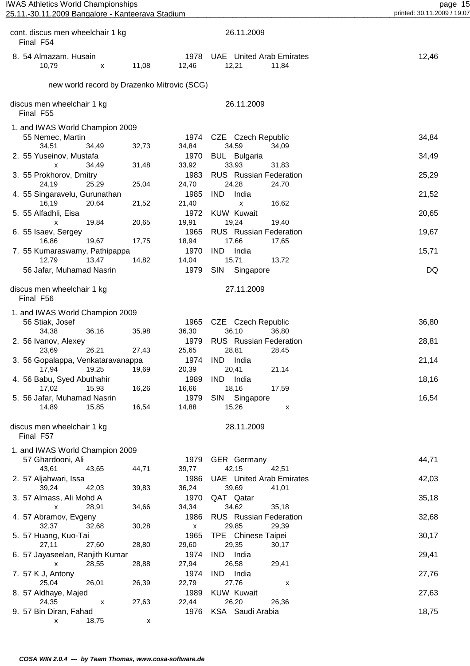| <b>IWAS Athletics World Championships</b> |  |
|-------------------------------------------|--|
|                                           |  |

| cont. discus men wheelchair 1 kg<br>Final F54 |                                             |       |               | 26.11.2009                                        |   |       |
|-----------------------------------------------|---------------------------------------------|-------|---------------|---------------------------------------------------|---|-------|
| 8. 54 Almazam, Husain<br>10,79                | X                                           | 11,08 | 1978<br>12,46 | <b>UAE</b> United Arab Emirates<br>12,21<br>11,84 |   | 12,46 |
|                                               | new world record by Drazenko Mitrovic (SCG) |       |               |                                                   |   |       |
| discus men wheelchair 1 kg<br>Final F55       |                                             |       |               | 26.11.2009                                        |   |       |
| 1. and IWAS World Champion 2009               |                                             |       |               |                                                   |   |       |
| 55 Nemec, Martin                              |                                             |       | 1974          | CZE Czech Republic                                |   | 34,84 |
| 34,51                                         | 34,49                                       | 32,73 | 34,84         | 34,59<br>34,09                                    |   |       |
| 2. 55 Yuseinov, Mustafa                       |                                             |       | 1970          | <b>BUL</b> Bulgaria                               |   | 34,49 |
| X                                             | 34,49                                       | 31,48 | 33,92         | 33,93<br>31,83                                    |   |       |
| 3. 55 Prokhorov, Dmitry                       |                                             |       | 1983          | RUS Russian Federation                            |   | 25,29 |
| 24,19                                         | 25,29                                       | 25,04 | 24,70         | 24,28<br>24,70                                    |   |       |
| 4. 55 Singaravelu, Gurunathan                 |                                             |       | 1985          | <b>IND</b><br>India                               |   | 21,52 |
| 16,19                                         | 20,64                                       | 21,52 | 21,40         | 16,62<br>x                                        |   |       |
| 5. 55 Alfadhli, Eisa                          |                                             |       | 1972          | <b>KUW Kuwait</b>                                 |   | 20,65 |
| X                                             | 19,84                                       | 20,65 | 19,91         | 19,24<br>19,40                                    |   |       |
| 6. 55 Isaev, Sergey                           |                                             |       | 1965          | <b>RUS</b> Russian Federation                     |   | 19,67 |
| 16,86                                         | 19,67                                       | 17,75 | 18,94<br>1970 | 17,66<br>17,65<br><b>IND</b><br>India             |   | 15,71 |
| 7. 55 Kumaraswamy, Pathipappa<br>12,79        | 13,47                                       | 14,82 | 14,04         | 15,71<br>13,72                                    |   |       |
| 56 Jafar, Muhamad Nasrin                      |                                             |       | 1979          | <b>SIN</b><br>Singapore                           |   | DQ    |
|                                               |                                             |       |               |                                                   |   |       |
| discus men wheelchair 1 kg<br>Final F56       |                                             |       |               | 27.11.2009                                        |   |       |
| 1. and IWAS World Champion 2009               |                                             |       |               |                                                   |   |       |
| 56 Stiak, Josef                               |                                             |       | 1965          | CZE Czech Republic                                |   | 36,80 |
| 34,38                                         | 36,16                                       | 35,98 | 36,30         | 36,10<br>36,80                                    |   |       |
| 2. 56 Ivanov, Alexey                          |                                             |       | 1979          | <b>RUS</b> Russian Federation                     |   | 28,81 |
| 23,69                                         | 26,21                                       | 27,43 | 25,65         | 28,81<br>28,45                                    |   |       |
| 3. 56 Gopalappa, Venkataravanappa             |                                             |       | 1974          | <b>IND</b><br>India                               |   | 21,14 |
| 17,94                                         | 19,25                                       | 19,69 | 20,39         | 20,41<br>21,14                                    |   |       |
| 4. 56 Babu, Syed Abuthahir                    |                                             |       | 1989          | IND India                                         |   | 18,16 |
| 17,02                                         | 15,93                                       | 16,26 | 16,66         | 18,16<br>17,59                                    |   |       |
| 5. 56 Jafar, Muhamad Nasrin                   |                                             |       | 1979          | SIN Singapore                                     |   | 16,54 |
| 14,89                                         | 15,85                                       | 16,54 | 14,88         | 15,26                                             | X |       |
| discus men wheelchair 1 kg<br>Final F57       |                                             |       |               | 28.11.2009                                        |   |       |
| 1. and IWAS World Champion 2009               |                                             |       |               |                                                   |   |       |
| 57 Ghardooni, Ali                             |                                             |       | 1979          | <b>GER</b> Germany                                |   | 44,71 |
| 43,61                                         | 43,65                                       | 44,71 | 39,77         | 42,15<br>42,51                                    |   |       |
| 2. 57 Aljahwari, Issa                         |                                             |       | 1986          | <b>UAE</b> United Arab Emirates                   |   | 42,03 |
| 39,24                                         | 42,03                                       | 39,83 | 36,24         | 39,69<br>41,01                                    |   |       |
| 3. 57 Almass, Ali Mohd A                      |                                             |       | 1970          | QAT Qatar                                         |   | 35,18 |
| X                                             | 28,91                                       | 34,66 | 34,34         | 34,62<br>35,18                                    |   |       |
| 4. 57 Abramov, Evgeny                         |                                             |       | 1986          | <b>RUS</b> Russian Federation                     |   | 32,68 |
| 32,37                                         | 32,68                                       | 30,28 | $\mathsf{x}$  | 29,85<br>29,39                                    |   |       |
| 5. 57 Huang, Kuo-Tai                          |                                             |       | 1965          | TPE Chinese Taipei                                |   | 30,17 |
| 27,11                                         | 27,60                                       | 28,80 | 29,60         | 29,35<br>30,17                                    |   |       |
| 6. 57 Jayaseelan, Ranjith Kumar               |                                             |       | 1974          | India<br><b>IND</b>                               |   | 29,41 |
| x                                             | 28,55                                       | 28,88 | 27,94         | 26,58<br>29,41                                    |   |       |
| 7. 57 K J, Antony                             |                                             |       | 1974          | IND India                                         |   | 27,76 |
| 25,04                                         | 26,01                                       | 26,39 | 22,79         | 27,76                                             | x |       |
| 8. 57 Aldhaye, Majed                          |                                             |       | 1989          | <b>KUW Kuwait</b>                                 |   | 27,63 |
| 24,35                                         | X                                           | 27,63 | 22,44         | 26,20<br>26,36                                    |   |       |
| 9. 57 Bin Diran, Fahad                        |                                             |       | 1976          | KSA Saudi Arabia                                  |   | 18,75 |
| x                                             | 18,75                                       | х     |               |                                                   |   |       |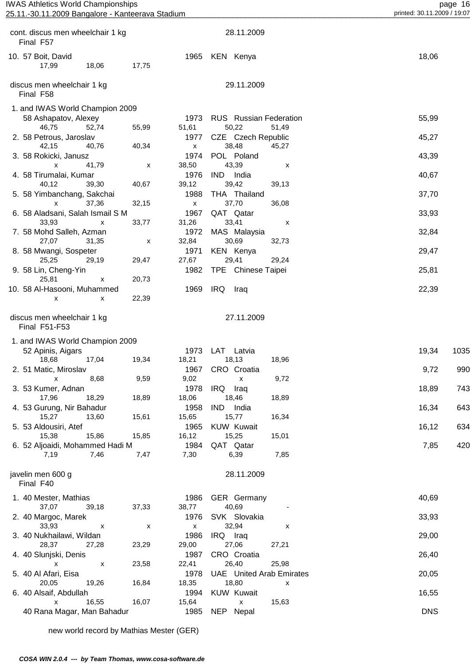| cont. discus men wheelchair 1 kg<br>Final F57 |                           |                           |                    |            | 28.11.2009                  |                                 |            |      |
|-----------------------------------------------|---------------------------|---------------------------|--------------------|------------|-----------------------------|---------------------------------|------------|------|
| 10. 57 Boit, David<br>17,99                   | 18,06                     | 17,75                     |                    |            | 1965 KEN Kenya              |                                 | 18,06      |      |
| discus men wheelchair 1 kg<br>Final F58       |                           |                           |                    |            | 29.11.2009                  |                                 |            |      |
| 1. and IWAS World Champion 2009               |                           |                           |                    |            |                             |                                 |            |      |
| 58 Ashapatov, Alexey                          |                           |                           | 1973               |            |                             | <b>RUS</b> Russian Federation   | 55,99      |      |
| 46,75                                         | 52,74                     | 55,99                     | 51,61              |            | 50,22                       | 51,49                           |            |      |
| 2. 58 Petrous, Jaroslav<br>42,15              | 40,76                     | 40,34                     | 1977<br>X          |            | CZE Czech Republic<br>38,48 | 45,27                           | 45,27      |      |
| 3. 58 Rokicki, Janusz                         |                           |                           | 1974               |            | POL Poland                  |                                 | 43,39      |      |
| x                                             | 41,79                     | $\boldsymbol{\mathsf{x}}$ | 38,50              |            | 43,39                       | x                               |            |      |
| 4. 58 Tirumalai, Kumar                        |                           |                           | 1976               | IND        | India                       |                                 | 40,67      |      |
| 40,12                                         | 39,30                     | 40,67                     | 39,12              |            | 39,42                       | 39,13                           |            |      |
| 5. 58 Yimbanchang, Sakchai<br>x               | 37,36                     | 32,15                     | 1988<br>X          |            | THA Thailand<br>37,70       | 36,08                           | 37,70      |      |
| 6. 58 Aladsani, Salah Ismail S M              |                           |                           | 1967               |            | QAT Qatar                   |                                 | 33,93      |      |
| 33,93                                         | $\boldsymbol{\mathsf{x}}$ | 33,77                     | 31,26              |            | 33,41                       | x                               |            |      |
| 7. 58 Mohd Salleh, Azman                      |                           |                           | 1972               |            | MAS Malaysia                |                                 | 32,84      |      |
| 27,07                                         | 31,35                     | X                         | 32,84              |            | 30,69                       | 32,73                           |            |      |
| 8. 58 Mwangi, Sospeter                        |                           |                           | 1971               |            | KEN Kenya                   |                                 | 29,47      |      |
| 25,25<br>9. 58 Lin, Cheng-Yin                 | 29,19                     | 29,47                     | 27,67<br>1982      |            | 29,41<br>TPE Chinese Taipei | 29,24                           | 25,81      |      |
| 25,81                                         | X                         | 20,73                     |                    |            |                             |                                 |            |      |
| 10. 58 Al-Hasooni, Muhammed                   |                           |                           | 1969               | IRQ        | Iraq                        |                                 | 22,39      |      |
| x                                             | х                         | 22,39                     |                    |            |                             |                                 |            |      |
| discus men wheelchair 1 kg<br>Final F51-F53   |                           |                           |                    |            | 27.11.2009                  |                                 |            |      |
| 1. and IWAS World Champion 2009               |                           |                           |                    |            |                             |                                 |            |      |
| 52 Apinis, Aigars                             |                           |                           | 1973               |            | LAT Latvia                  |                                 | 19,34      | 1035 |
| 18,68                                         | 17,04                     | 19,34                     | 18,21<br>1967      |            | 18,13                       | 18,96                           |            | 990  |
| 2. 51 Matic, Miroslav<br>x                    | 8,68                      | 9,59                      | 9,02               |            | CRO Croatia<br>$\mathsf{X}$ | 9,72                            | 9,72       |      |
| 3. 53 Kumer, Adnan                            |                           |                           | 1978               | IRQ Iraq   |                             |                                 | 18,89      | 743  |
| 17,96                                         | 18,29                     | 18,89                     | 18,06              |            | 18,46                       | 18,89                           |            |      |
| 4. 53 Gurung, Nir Bahadur                     |                           |                           | 1958               | <b>IND</b> | India                       |                                 | 16,34      | 643  |
| 15,27                                         | 13,60                     | 15,61                     | 15,65              |            | 15,77                       | 16,34                           |            |      |
| 5. 53 Aldousiri, Atef<br>15,38                | 15,86                     | 15,85                     | 1965<br>16,12      |            | <b>KUW Kuwait</b><br>15,25  | 15,01                           | 16,12      | 634  |
| 6. 52 Aljoaidi, Mohammed Hadi M               |                           |                           | 1984               |            | QAT Qatar                   |                                 | 7,85       | 420  |
| 7,19                                          | 7,46                      | 7,47                      | 7,30               |            | 6,39                        | 7,85                            |            |      |
| javelin men 600 g<br>Final F40                |                           |                           |                    |            | 28.11.2009                  |                                 |            |      |
| 1. 40 Mester, Mathias                         |                           |                           | 1986               |            | <b>GER</b> Germany          |                                 | 40,69      |      |
| 37,07                                         | 39,18                     | 37,33                     | 38,77              |            | 40,69                       |                                 |            |      |
| 2. 40 Margoc, Marek                           |                           |                           | 1976               |            | SVK Slovakia                |                                 | 33,93      |      |
| 33,93                                         | X                         | $\boldsymbol{\mathsf{x}}$ | $\pmb{\mathsf{X}}$ |            | 32,94                       | X                               |            |      |
| 3. 40 Nukhailawi, Wildan                      |                           |                           | 1986               |            | IRQ Iraq                    |                                 | 29,00      |      |
| 28,37<br>4. 40 Slunjski, Denis                | 27,28                     | 23,29                     | 29,00<br>1987      |            | 27,06<br>CRO Croatia        | 27,21                           | 26,40      |      |
| X                                             | $\boldsymbol{\mathsf{x}}$ | 23,58                     | 22,41              |            | 26,40                       | 25,98                           |            |      |
| 5. 40 Al Afari, Eisa                          |                           |                           | 1978               |            |                             | <b>UAE</b> United Arab Emirates | 20,05      |      |
| 20,05                                         | 19,26                     | 16,84                     | 18,35              |            | 18,80                       | X                               |            |      |
| 6. 40 Alsaif, Abdullah                        |                           |                           | 1994               |            | <b>KUW Kuwait</b>           |                                 | 16,55      |      |
| X<br>40 Rana Magar, Man Bahadur               | 16,55                     | 16,07                     | 15,64<br>1985      |            | X<br>NEP Nepal              | 15,63                           | <b>DNS</b> |      |
|                                               |                           |                           |                    |            |                             |                                 |            |      |

new world record by Mathias Mester (GER)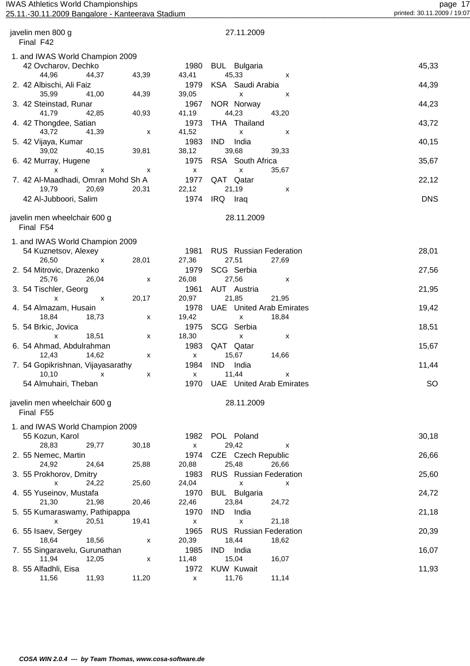## page 17<br>25.11.2009 Bangalore - Kanteerava Stadium page 17<br>25.11.2009 Printed: 30.11.2009 Pangalore - Kanteerava Stadium printed: 30.11.2009 / 19:07 25.11.-30.11.2009 Bangalore - Kanteerava Stadium

| javelin men 800 g<br>Final F42            |       |       | 27.11.2009                                |            |
|-------------------------------------------|-------|-------|-------------------------------------------|------------|
| 1. and IWAS World Champion 2009           |       |       |                                           |            |
| 42 Ovcharov, Dechko                       |       | 1980  | <b>BUL</b> Bulgaria                       | 45,33      |
| 44,96<br>44,37                            | 43,39 | 43,41 | 45,33<br>x                                |            |
| 2. 42 Albischi, Ali Faiz                  |       | 1979  | KSA Saudi Arabia                          | 44,39      |
| 35,99<br>41,00                            | 44,39 | 39,05 | X<br>х                                    |            |
| 3. 42 Steinstad, Runar                    |       | 1967  | NOR Norway                                | 44,23      |
| 41,79<br>42,85                            | 40,93 | 41,19 | 44,23<br>43,20                            |            |
| 4. 42 Thongdee, Satian                    |       | 1973  | THA Thailand                              | 43,72      |
| 43,72<br>41,39                            | х     | 41,52 | x<br>х                                    |            |
| 5. 42 Vijaya, Kumar                       |       | 1983  | <b>IND</b><br>India                       | 40,15      |
| 39,02<br>40,15                            | 39,81 | 38,12 | 39,68<br>39,33                            |            |
| 6. 42 Murray, Hugene                      |       | 1975  | RSA South Africa                          | 35,67      |
| x<br>x                                    | х     | X     | 35,67<br>x                                |            |
| 7. 42 Al-Maadhadi, Omran Mohd Sh A        |       | 1977  | QAT Qatar                                 | 22,12      |
| 19,79<br>20,69                            | 20,31 | 22,12 | 21,19<br>x                                |            |
| 42 Al-Jubboori, Salim                     |       | 1974  | IRQ Iraq                                  | <b>DNS</b> |
|                                           |       |       |                                           |            |
| javelin men wheelchair 600 g<br>Final F54 |       |       | 28.11.2009                                |            |
|                                           |       |       |                                           |            |
| 1. and IWAS World Champion 2009           |       |       |                                           |            |
| 54 Kuznetsov, Alexey                      |       | 1981  | <b>RUS</b> Russian Federation             | 28,01      |
| 26,50<br>$\mathsf{x}$                     | 28,01 | 27,36 | 27,51<br>27,69                            |            |
| 2. 54 Mitrovic, Drazenko                  |       | 1979  | SCG Serbia                                | 27,56      |
| 25,76<br>26,04                            | X     | 26,08 | 27,56<br>х                                |            |
| 3. 54 Tischler, Georg                     |       | 1961  | AUT Austria                               | 21,95      |
| Х<br>$\boldsymbol{\mathsf{x}}$            | 20,17 | 20,97 | 21,85<br>21,95                            |            |
| 4. 54 Almazam, Husain                     |       | 1978  | <b>UAE</b><br><b>United Arab Emirates</b> | 19,42      |
| 18,84<br>18,73                            | x     | 19,42 | 18,84<br>X                                |            |
| 5. 54 Brkic, Jovica                       |       | 1975  | SCG<br>Serbia                             | 18,51      |
| 18,51<br>X                                | x     | 18,30 | X<br>х                                    |            |
| 6. 54 Ahmad, Abdulrahman                  |       | 1983  | QAT<br>Qatar                              | 15,67      |
| 12,43<br>14,62                            | x     | X     | 15,67<br>14,66                            |            |
| 7. 54 Gopikrishnan, Vijayasarathy         |       | 1984  | <b>IND</b><br>India                       | 11,44      |
| 10, 10<br>x                               | x     | X     | 11,44<br>x                                |            |
| 54 Almuhairi, Theban                      |       | 1970  | <b>UAE</b> United Arab Emirates           | <b>SO</b>  |
| javelin men wheelchair 600 g<br>Final F55 |       |       | 28.11.2009                                |            |
|                                           |       |       |                                           |            |
| 1. and IWAS World Champion 2009           |       |       |                                           |            |
| 55 Kozun, Karol                           |       | 1982  | POL Poland                                | 30,18      |
| 28,83<br>29,77                            | 30,18 | X     | 29,42<br>x                                |            |
| 2. 55 Nemec, Martin                       |       | 1974  | CZE Czech Republic                        | 26,66      |
| 24,92<br>24,64                            | 25,88 | 20,88 | 25,48<br>26,66                            |            |
| 3. 55 Prokhorov, Dmitry                   |       | 1983  | <b>RUS</b> Russian Federation             | 25,60      |
| 24,22<br>X                                | 25,60 | 24,04 | X<br>x                                    |            |
| 4. 55 Yuseinov, Mustafa                   |       | 1970  | <b>BUL</b> Bulgaria                       | 24,72      |
| 21,30<br>21,98                            | 20,46 | 22,46 | 23,84<br>24,72                            |            |
| 5. 55 Kumaraswamy, Pathipappa             |       | 1970  | <b>IND</b><br>India                       | 21,18      |
| 20,51<br>x                                | 19,41 | X     | 21,18<br>x                                |            |
| 6. 55 Isaev, Sergey                       |       | 1965  | <b>RUS</b> Russian Federation             | 20,39      |
| 18,64<br>18,56                            | x     | 20,39 | 18,44<br>18,62                            |            |
| 7. 55 Singaravelu, Gurunathan             |       | 1985  | India<br><b>IND</b>                       | 16,07      |
| 11,94<br>12,05                            | x     | 11,48 | 15,04<br>16,07                            |            |
| 8. 55 Alfadhli, Eisa                      |       | 1972  | <b>KUW Kuwait</b>                         | 11,93      |
| 11,93<br>11,56                            | 11,20 | X     | 11,14<br>11,76                            |            |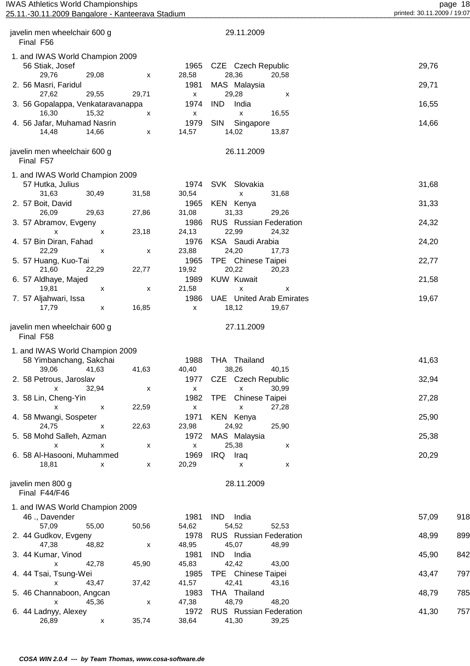| <b>IWAS Athletics World Championships</b><br>25.11.-30.11.2009 Bangalore - Kanteerava Stadium |       | page 18<br>printed: 30.11.2009 / 19:07 |       |                    |                                |
|-----------------------------------------------------------------------------------------------|-------|----------------------------------------|-------|--------------------|--------------------------------|
|                                                                                               |       |                                        |       |                    |                                |
| javelin men wheelchair 600 g                                                                  |       |                                        |       | 29.11.2009         |                                |
| Final F56                                                                                     |       |                                        |       |                    |                                |
| . and IWAS World Champion 2009                                                                |       |                                        |       |                    |                                |
| 56 Stiak, Josef                                                                               |       |                                        | 1965  | CZE Czech Republic | 29,76                          |
| 29.76                                                                                         | 29.08 | x                                      | 28.58 | 28.36<br>20.58     |                                |
| 2. 56 Masri, Faridul                                                                          |       |                                        | 1981  | MAS Malaysia       | 29,71                          |
| 27.62                                                                                         | 29.55 | 29,71                                  | x     | 29.28<br>x         |                                |
| $\Omega$ . For $\Omega$ is the set of $M$ is the set of the set of $\Omega$                   |       |                                        |       | $\lambda$          | $\lambda$ $\sim$ $\tau$ $\tau$ |

| page                    |  |
|-------------------------|--|
| printed: 30.11.2009 / 1 |  |

| ---                               |       |                    | -------                         |       |
|-----------------------------------|-------|--------------------|---------------------------------|-------|
| 29,76<br>29,08                    | X     | 28,58              | 28,36<br>20,58                  |       |
| 2. 56 Masri, Faridul              |       | 1981               | MAS Malaysia                    | 29,71 |
| 29,55<br>27,62                    | 29,71 | X                  | 29,28<br>X                      |       |
| 3. 56 Gopalappa, Venkataravanappa |       | 1974               | India<br><b>IND</b>             | 16,55 |
| 16,30<br>15,32                    | X     | X                  | $\pmb{\times}$<br>16,55         |       |
| 4. 56 Jafar, Muhamad Nasrin       |       | 1979               | <b>SIN</b><br>Singapore         | 14,66 |
| 14,48<br>14,66                    | X     | 14,57              | 14,02<br>13,87                  |       |
| javelin men wheelchair 600 g      |       |                    | 26.11.2009                      |       |
| Final F57                         |       |                    |                                 |       |
| 1. and IWAS World Champion 2009   |       |                    |                                 |       |
| 57 Hutka, Julius                  |       | 1974               | SVK Slovakia                    | 31,68 |
| 31,63<br>30,49                    | 31,58 | 30,54              | $\pmb{\mathsf{x}}$<br>31,68     |       |
| 2. 57 Boit, David                 |       | 1965               | KEN Kenya                       | 31,33 |
| 26,09<br>29,63                    | 27,86 | 31,08              | 31,33<br>29,26                  |       |
| 3. 57 Abramov, Evgeny             |       | 1986               | <b>RUS</b> Russian Federation   | 24,32 |
| X<br>$\boldsymbol{\mathsf{x}}$    | 23,18 | 24,13              | 22,99<br>24,32                  |       |
| 4. 57 Bin Diran, Fahad            |       | 1976               | KSA Saudi Arabia                | 24,20 |
| 22,29<br>X                        | X     | 23,88              | 24,20<br>17,73                  |       |
| 5. 57 Huang, Kuo-Tai              |       | 1965               | TPE Chinese Taipei              | 22,77 |
| 21,60<br>22,29                    | 22,77 | 19,92              | 20,22<br>20,23                  |       |
| 6. 57 Aldhaye, Majed              |       | 1989               | <b>KUW Kuwait</b>               | 21,58 |
| 19,81<br>х                        | X     | 21,58              | $\pmb{\times}$<br>X             |       |
| 7. 57 Aljahwari, Issa             |       | 1986               | <b>UAE</b> United Arab Emirates | 19,67 |
| 17,79<br>X                        | 16,85 | X                  | 18,12<br>19,67                  |       |
|                                   |       |                    |                                 |       |
| javelin men wheelchair 600 g      |       |                    | 27.11.2009                      |       |
| Final F58                         |       |                    |                                 |       |
| 1. and IWAS World Champion 2009   |       |                    |                                 |       |
| 58 Yimbanchang, Sakchai           |       | 1988               | THA Thailand                    | 41,63 |
| 39,06<br>41,63                    | 41,63 | 40,40              | 38,26<br>40,15                  |       |
| 2. 58 Petrous, Jaroslav           |       | 1977               | CZE Czech Republic              | 32,94 |
| $\pmb{\mathsf{x}}$<br>32,94       | X     | x                  | 30,99<br>$\pmb{\mathsf{x}}$     |       |
| 3. 58 Lin, Cheng-Yin              |       | 1982               | TPE Chinese Taipei              | 27,28 |
| $\mathsf{x}$<br>х                 | 22,59 | $\pmb{\mathsf{X}}$ | $\mathsf{x}$<br>27,28           |       |
| 4. 58 Mwangi, Sospeter            |       | 1971               | KEN Kenya                       | 25,90 |
| 24,75<br>X                        | 22,63 | 23,98              | 24,92<br>25,90                  |       |
| 5. 58 Mohd Salleh, Azman          |       | 1972               | MAS Malaysia                    | 25,38 |
| $\pmb{\mathsf{x}}$<br>X           | x     | X                  | 25,38<br>X                      |       |
| 6. 58 Al-Hasooni, Muhammed        |       | 1969               | IRQ.<br>Iraq                    | 20,29 |
| 18,81<br>X                        | X     | 20,29              | X<br>X                          |       |
|                                   |       |                    |                                 |       |

 javelin men 800 g 28.11.2009 Final F44/F46

| 1. and IWAS World Champion 2009 |       |       |       |                               |       |       |     |
|---------------------------------|-------|-------|-------|-------------------------------|-------|-------|-----|
| 46., Davender                   |       |       | 1981  | <b>IND</b><br>India           |       | 57,09 | 918 |
| 57.09                           | 55.00 | 50,56 | 54,62 | 54,52                         | 52.53 |       |     |
| 2. 44 Gudkov, Evgeny            |       |       | 1978  | <b>RUS</b> Russian Federation |       | 48,99 | 899 |
| 47.38                           | 48.82 | X     | 48,95 | 45,07                         | 48,99 |       |     |
| 3. 44 Kumar, Vinod              |       |       | 1981  | IND.<br>India                 |       | 45,90 | 842 |
| x                               | 42.78 | 45,90 | 45,83 | 42.42                         | 43.00 |       |     |
| 4. 44 Tsai, Tsung-Wei           |       |       | 1985  | TPE Chinese Taipei            |       | 43,47 | 797 |
| x                               | 43.47 | 37,42 | 41,57 | 42,41                         | 43,16 |       |     |
| 5. 46 Channaboon, Angcan        |       |       | 1983  | THA Thailand                  |       | 48,79 | 785 |
| x                               | 45.36 | X     | 47,38 | 48.79                         | 48.20 |       |     |
| 6. 44 Ladnyy, Alexey            |       |       | 1972  | <b>RUS</b> Russian Federation |       | 41,30 | 757 |
| 26,89                           | x     | 35,74 | 38,64 | 41,30                         | 39,25 |       |     |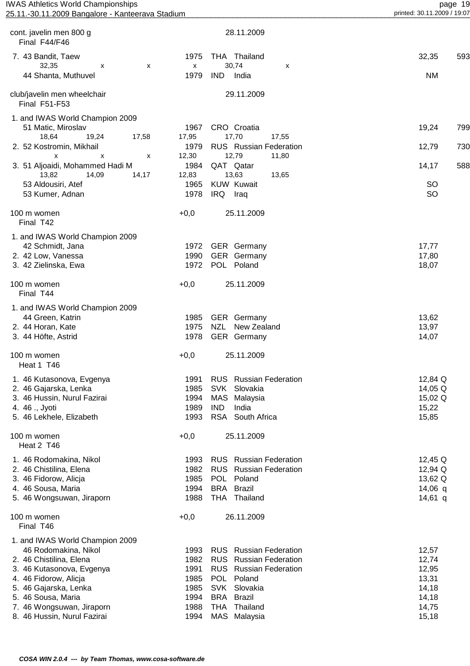| <b>IWAS Athletics World Championships</b><br>25.11.-30.11.2009 Bangalore - Kanteerava Stadium |                      |                                     | page 19<br>printed: 30.11.2009 / 19:07 |
|-----------------------------------------------------------------------------------------------|----------------------|-------------------------------------|----------------------------------------|
| cont. javelin men 800 g<br>Final F44/F46                                                      |                      | 28.11.2009                          |                                        |
|                                                                                               |                      |                                     |                                        |
| 7. 43 Bandit, Taew<br>32,35<br>X<br>X                                                         | 1975<br>$\mathsf{x}$ | THA Thailand<br>30,74<br>X          | 32,35<br>593                           |
| 44 Shanta, Muthuvel                                                                           | 1979                 | <b>IND</b><br>India                 | <b>NM</b>                              |
| club/javelin men wheelchair<br>Final F51-F53                                                  |                      | 29.11.2009                          |                                        |
| 1. and IWAS World Champion 2009                                                               |                      |                                     |                                        |
| 51 Matic, Miroslav                                                                            | 1967                 | CRO Croatia                         | 19,24<br>799                           |
| 18,64<br>19,24<br>17,58                                                                       | 17,95                | 17,70<br>17,55                      |                                        |
| 2. 52 Kostromin, Mikhail                                                                      | 1979                 | RUS Russian Federation              | 12,79<br>730                           |
| X<br>x<br>X                                                                                   | 12,30                | 12,79<br>11,80                      |                                        |
| 3. 51 Aljoaidi, Mohammed Hadi M                                                               | 1984                 | QAT Qatar                           | 588<br>14,17                           |
| 13,82<br>14,09<br>14,17                                                                       | 12,83                | 13,63<br>13,65<br><b>KUW Kuwait</b> | <b>SO</b>                              |
| 53 Aldousiri, Atef<br>53 Kumer, Adnan                                                         | 1965<br>1978         | IRQ Iraq                            | <b>SO</b>                              |
|                                                                                               |                      |                                     |                                        |
| 100 m women<br>Final T42                                                                      | $+0,0$               | 25.11.2009                          |                                        |
| 1. and IWAS World Champion 2009                                                               |                      |                                     |                                        |
| 42 Schmidt, Jana                                                                              | 1972                 | <b>GER</b> Germany                  | 17,77                                  |
| 2. 42 Low, Vanessa                                                                            | 1990                 | GER Germany                         | 17,80                                  |
| 3. 42 Zielinska, Ewa                                                                          | 1972                 | POL Poland                          | 18,07                                  |
| 100 m women<br>Final T44                                                                      | $+0,0$               | 25.11.2009                          |                                        |
| 1. and IWAS World Champion 2009                                                               |                      |                                     |                                        |
| 44 Green, Katrin                                                                              | 1985                 | GER Germany                         | 13,62                                  |
| 2. 44 Horan, Kate                                                                             | 1975                 | <b>NZL</b><br>New Zealand           | 13,97                                  |
| 3. 44 Höfte, Astrid                                                                           | 1978                 | <b>GER</b> Germany                  | 14,07                                  |
| 100 m women<br>Heat 1 T46                                                                     | $+0,0$               | 25.11.2009                          |                                        |
| 1. 46 Kutasonova, Evgenya                                                                     | 1991                 | <b>RUS</b> Russian Federation       | 12,84 Q                                |
| 2. 46 Gajarska, Lenka                                                                         | 1985                 | SVK Slovakia                        | 14,05 Q                                |
| 3. 46 Hussin, Nurul Fazirai                                                                   | 1994                 | MAS<br>Malaysia                     | 15,02 Q                                |
| 4. 46 ., Jyoti                                                                                | 1989                 | <b>IND</b><br>India                 | 15,22                                  |
| 5. 46 Lekhele, Elizabeth                                                                      | 1993                 | RSA South Africa                    | 15,85                                  |
| 100 m women<br>Heat 2 T46                                                                     | $+0,0$               | 25.11.2009                          |                                        |
| 1. 46 Rodomakina, Nikol                                                                       | 1993                 | <b>RUS</b> Russian Federation       | 12,45 $Q$                              |
| 2. 46 Chistilina, Elena                                                                       | 1982                 | <b>RUS</b> Russian Federation       | 12,94 Q                                |
| 3. 46 Fidorow, Alicja                                                                         | 1985                 | POL Poland                          | 13,62 Q                                |
| 4. 46 Sousa, Maria                                                                            | 1994                 | <b>BRA</b> Brazil                   | $14,06$ q                              |
| 5. 46 Wongsuwan, Jiraporn                                                                     | 1988                 | THA Thailand                        | $14,61$ q                              |
| 100 m women<br>Final T46                                                                      | $+0,0$               | 26.11.2009                          |                                        |
| 1. and IWAS World Champion 2009                                                               |                      |                                     |                                        |
| 46 Rodomakina, Nikol                                                                          | 1993                 | <b>RUS</b> Russian Federation       | 12,57                                  |
| 2. 46 Chistilina, Elena                                                                       | 1982                 | <b>RUS</b> Russian Federation       | 12,74                                  |
| 3. 46 Kutasonova, Evgenya                                                                     | 1991                 | <b>RUS</b> Russian Federation       | 12,95                                  |
| 4. 46 Fidorow, Alicja                                                                         | 1985                 | POL Poland                          | 13,31                                  |
| 5. 46 Gajarska, Lenka                                                                         | 1985                 | SVK Slovakia                        | 14,18                                  |
| 5. 46 Sousa, Maria                                                                            | 1994                 | <b>BRA</b> Brazil                   | 14,18                                  |
| 7. 46 Wongsuwan, Jiraporn                                                                     | 1988                 | THA Thailand                        | 14,75                                  |

8. 46 Hussin, Nurul Fazirai 1994 MAS Malaysia 15,18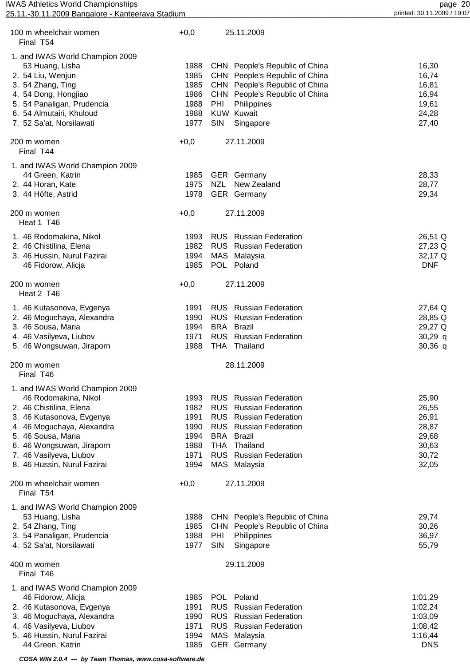| <b>IWAS Athletics World Championships</b>        |
|--------------------------------------------------|
| 25.11.-30.11.2009 Bangalore - Kanteerava Stadium |

| 100 m wheelchair women<br>Final T54                    | $+0,0$       |                   | 25.11.2009                                |                |
|--------------------------------------------------------|--------------|-------------------|-------------------------------------------|----------------|
| 1. and IWAS World Champion 2009                        |              |                   |                                           |                |
| 53 Huang, Lisha                                        | 1988         |                   | CHN People's Republic of China            | 16,30          |
| 2. 54 Liu, Wenjun                                      | 1985         |                   | CHN People's Republic of China            | 16,74          |
| 3. 54 Zhang, Ting                                      | 1985         |                   | CHN People's Republic of China            | 16,81          |
| 4. 54 Dong, Hongjiao                                   | 1986         |                   | CHN People's Republic of China            | 16,94          |
| 5. 54 Panaligan, Prudencia                             | 1988         | PHI               | Philippines                               | 19,61          |
| 6. 54 Almutairi, Khuloud                               | 1988         |                   | <b>KUW Kuwait</b>                         | 24,28          |
| 7. 52 Sa'at, Norsilawati                               | 1977         | SIN               | Singapore                                 | 27,40          |
| 200 m women<br>Final T44                               | $+0,0$       |                   | 27.11.2009                                |                |
| 1. and IWAS World Champion 2009                        |              |                   |                                           |                |
| 44 Green, Katrin                                       | 1985         |                   | <b>GER</b> Germany                        | 28,33          |
| 2. 44 Horan, Kate                                      | 1975         | <b>NZL</b>        | New Zealand                               | 28,77          |
| 3. 44 Höfte, Astrid                                    | 1978         |                   | GER Germany                               | 29,34          |
| 200 m women<br>Heat 1 T46                              | $+0,0$       |                   | 27.11.2009                                |                |
| 1. 46 Rodomakina, Nikol                                | 1993         |                   | <b>RUS</b> Russian Federation             | 26,51 Q        |
| 2. 46 Chistilina, Elena                                | 1982         |                   | <b>RUS</b> Russian Federation             | 27,23 Q        |
| 3. 46 Hussin, Nurul Fazirai                            | 1994         |                   | MAS Malaysia                              | 32,17 Q        |
| 46 Fidorow, Alicja                                     | 1985         |                   | POL Poland                                | <b>DNF</b>     |
| 200 m women<br>Heat 2 T46                              | $+0,0$       |                   | 27.11.2009                                |                |
| 1. 46 Kutasonova, Evgenya                              | 1991         |                   | <b>RUS</b> Russian Federation             | 27,64 Q        |
| 2. 46 Moguchaya, Alexandra                             | 1990         |                   | <b>RUS</b> Russian Federation             | 28,85 Q        |
| 3. 46 Sousa, Maria                                     | 1994         |                   | <b>BRA</b> Brazil                         | 29,27 Q        |
| 4. 46 Vasilyeva, Liubov                                | 1971         |                   | <b>RUS</b> Russian Federation             | $30,29$ q      |
| 5. 46 Wongsuwan, Jiraporn                              | 1988         |                   | THA Thailand                              | $30,36$ q      |
| 200 m women<br>Final T46                               |              |                   | 28.11.2009                                |                |
| 1. and IWAS World Champion 2009                        |              |                   |                                           |                |
| 46 Rodomakina, Nikol                                   | 1993         |                   | <b>RUS</b> Russian Federation             | 25,90          |
| 2. 46 Chistilina, Elena                                | 1982         | <b>RUS</b>        | <b>Russian Federation</b>                 | 26,55          |
| 3. 46 Kutasonova, Evgenya                              | 1991         |                   | <b>RUS</b> Russian Federation             | 26,91          |
| 4. 46 Moguchaya, Alexandra                             | 1990         |                   | <b>RUS</b> Russian Federation             | 28,87          |
| 5. 46 Sousa, Maria                                     | 1994         | BRA               | Brazil                                    | 29,68          |
| 6. 46 Wongsuwan, Jiraporn                              | 1988<br>1971 | <b>THA</b>        | Thailand<br><b>RUS</b> Russian Federation | 30,63          |
| 7. 46 Vasilyeva, Liubov<br>8. 46 Hussin, Nurul Fazirai | 1994         |                   | MAS Malaysia                              | 30,72<br>32,05 |
|                                                        |              |                   |                                           |                |
| 200 m wheelchair women<br>Final T54                    | $+0,0$       |                   | 27.11.2009                                |                |
| 1. and IWAS World Champion 2009                        |              |                   |                                           |                |
| 53 Huang, Lisha                                        | 1988         |                   | CHN People's Republic of China            | 29,74          |
| 2. 54 Zhang, Ting                                      | 1985         |                   | CHN People's Republic of China            | 30,26          |
| 3. 54 Panaligan, Prudencia                             | 1988<br>1977 | PHI<br><b>SIN</b> | Philippines                               | 36,97          |
| 4. 52 Sa'at, Norsilawati                               |              |                   | Singapore                                 | 55,79          |
| 400 m women<br>Final T46                               |              |                   | 29.11.2009                                |                |
| 1. and IWAS World Champion 2009                        |              |                   |                                           |                |
| 46 Fidorow, Alicja                                     | 1985         |                   | POL Poland                                | 1:01,29        |
| 2. 46 Kutasonova, Evgenya                              | 1991         | <b>RUS</b>        | <b>Russian Federation</b>                 | 1:02,24        |
| 3. 46 Moguchaya, Alexandra                             | 1990         |                   | <b>RUS</b> Russian Federation             | 1:03,09        |
| 4. 46 Vasilyeva, Liubov                                | 1971         |                   | <b>RUS</b> Russian Federation             | 1:08,42        |
| 5. 46 Hussin, Nurul Fazirai                            | 1994         |                   | MAS Malaysia                              | 1:16,44        |

44 Green, Katrin **DISCOTE:** 1985 GER Germany **DISCOTE:** DISCOTE: 1985 GER Germany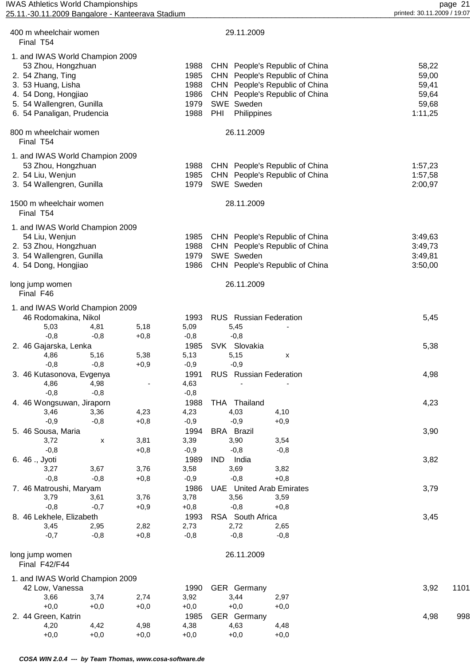| <b>IWAS Athletics World Championships</b><br>25.11.-30.11.2009 Bangalore - Kanteerava Stadium |                          |        |                                 | page 21<br>printed: 30.11.2009 / 19:07 |
|-----------------------------------------------------------------------------------------------|--------------------------|--------|---------------------------------|----------------------------------------|
|                                                                                               |                          |        |                                 |                                        |
| 400 m wheelchair women<br>Final T54                                                           |                          |        | 29.11.2009                      |                                        |
| 1. and IWAS World Champion 2009                                                               |                          |        |                                 |                                        |
| 53 Zhou, Hongzhuan                                                                            |                          | 1988   | CHN People's Republic of China  | 58,22                                  |
| 2. 54 Zhang, Ting                                                                             |                          | 1985   | CHN People's Republic of China  | 59,00                                  |
| 3. 53 Huang, Lisha                                                                            |                          | 1988   | CHN People's Republic of China  | 59,41                                  |
| 4. 54 Dong, Hongjiao                                                                          |                          | 1986   | CHN People's Republic of China  | 59,64                                  |
| 5. 54 Wallengren, Gunilla                                                                     |                          | 1979   | SWE Sweden                      | 59,68                                  |
| 6. 54 Panaligan, Prudencia                                                                    |                          | 1988   | PHI<br>Philippines              | 1:11,25                                |
| 800 m wheelchair women<br>Final T54                                                           |                          |        | 26.11.2009                      |                                        |
| 1. and IWAS World Champion 2009                                                               |                          |        |                                 |                                        |
| 53 Zhou, Hongzhuan                                                                            |                          | 1988   | CHN People's Republic of China  | 1:57,23                                |
| 2. 54 Liu, Wenjun                                                                             |                          | 1985   | CHN People's Republic of China  | 1:57,58                                |
| 3. 54 Wallengren, Gunilla                                                                     |                          | 1979   | SWE Sweden                      | 2:00,97                                |
| 1500 m wheelchair women<br>Final T54                                                          |                          |        | 28.11.2009                      |                                        |
| 1. and IWAS World Champion 2009                                                               |                          |        |                                 |                                        |
| 54 Liu, Wenjun                                                                                |                          | 1985   | CHN People's Republic of China  | 3:49,63                                |
| 2. 53 Zhou, Hongzhuan                                                                         |                          | 1988   | CHN People's Republic of China  | 3:49,73                                |
| 3. 54 Wallengren, Gunilla                                                                     |                          | 1979   | SWE Sweden                      | 3:49,81                                |
| 4. 54 Dong, Hongjiao                                                                          |                          | 1986   | CHN People's Republic of China  | 3:50,00                                |
| long jump women<br>Final F46                                                                  |                          |        | 26.11.2009                      |                                        |
| 1. and IWAS World Champion 2009                                                               |                          |        |                                 |                                        |
| 46 Rodomakina, Nikol                                                                          |                          | 1993   | <b>RUS</b> Russian Federation   | 5,45                                   |
| 5,03<br>4,81                                                                                  | 5,18                     | 5,09   | 5,45                            |                                        |
| $-0,8$<br>$-0,8$                                                                              | $+0,8$                   | $-0,8$ | $-0,8$                          |                                        |
| 2. 46 Gajarska, Lenka                                                                         |                          | 1985   | SVK Slovakia                    | 5,38                                   |
| 5,16<br>4,86                                                                                  | 5,38                     | 5,13   | 5,15<br>х                       |                                        |
| $-0,8$<br>$-0,8$                                                                              | $+0,9$                   | $-0,9$ | $-0,9$                          |                                        |
| 3. 46 Kutasonova, Evgenya                                                                     |                          | 1991   | RUS Russian Federation          | 4,98                                   |
| 4,86<br>4,98                                                                                  | $\overline{\phantom{a}}$ | 4,63   |                                 |                                        |
| $-0,8$<br>$-0,8$                                                                              |                          | $-0,8$ |                                 |                                        |
| 4. 46 Wongsuwan, Jiraporn                                                                     |                          | 1988   | THA Thailand                    | 4,23                                   |
| 3,46<br>3,36                                                                                  | 4,23                     | 4,23   | 4,03<br>4,10                    |                                        |
| $-0,9$<br>$-0,8$                                                                              | $+0,8$                   | $-0,9$ | $-0,9$<br>$+0,9$                |                                        |
| 5. 46 Sousa, Maria                                                                            |                          | 1994   | <b>BRA</b> Brazil               | 3,90                                   |
| 3,72                                                                                          | 3,81<br>X                | 3,39   | 3,90<br>3,54                    |                                        |
| $-0,8$                                                                                        | $+0,8$                   | $-0,9$ | $-0,8$<br>$-0,8$                |                                        |
| 6. 46 ., Jyoti                                                                                |                          | 1989   | IND.<br>India                   | 3,82                                   |
| 3,67<br>3,27                                                                                  | 3,76                     | 3,58   | 3,69<br>3,82                    |                                        |
| $-0,8$<br>$-0,8$                                                                              | $+0,8$                   | $-0,9$ | $+0,8$<br>$-0,8$                |                                        |
| 7. 46 Matroushi, Maryam                                                                       |                          | 1986   | <b>UAE</b> United Arab Emirates | 3,79                                   |
| 3,79<br>3,61                                                                                  | 3,76                     | 3,78   | 3,56<br>3,59                    |                                        |
| $-0,8$<br>$-0,7$                                                                              | $+0,9$                   | $+0,8$ | $-0,8$<br>$+0,8$                |                                        |
| 8. 46 Lekhele, Elizabeth                                                                      |                          | 1993   | RSA South Africa                | 3,45                                   |
| 3,45<br>2,95                                                                                  | 2,82                     | 2,73   | 2,72<br>2,65                    |                                        |
| $-0,7$<br>$-0,8$                                                                              | $+0,8$                   | $-0,8$ | $-0,8$<br>$-0,8$                |                                        |
| long jump women<br>Final F42/F44                                                              |                          |        | 26.11.2009                      |                                        |
| 1. and IWAS World Champion 2009                                                               |                          |        |                                 |                                        |
| 42 Low, Vanessa                                                                               |                          | 1990   | GER Germany                     | 3,92<br>1101                           |
| 3,66<br>3,74                                                                                  | 2,74                     | 3,92   | 3,44<br>2,97                    |                                        |
| $+0,0$<br>$+0,0$                                                                              | $+0,0$                   | $+0,0$ | $+0,0$<br>$+0,0$                |                                        |
| 2. 44 Green, Katrin                                                                           |                          | 1985   | GER Germany                     | 4,98<br>998                            |
| 4,42<br>4,20                                                                                  | 4,98                     | 4,38   | 4,48<br>4,63                    |                                        |

+0,0 +0,0 +0,0 +0,0 +0,0 +0,0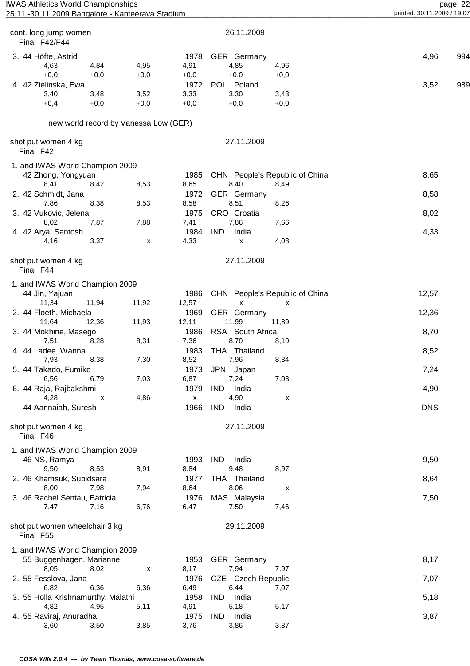| <b>IWAS Athletics World Championships</b>        |
|--------------------------------------------------|
| 25.11.-30.11.2009 Bangalore - Kanteerava Stadium |

| cont. long jump women<br>Final F42/F44      |                                       |                    | 26.11.2009          |                                |            |     |
|---------------------------------------------|---------------------------------------|--------------------|---------------------|--------------------------------|------------|-----|
|                                             |                                       |                    |                     |                                |            |     |
| 3. 44 Höfte, Astrid                         |                                       | 1978               | <b>GER</b> Germany  |                                | 4,96       | 994 |
| 4,63                                        | 4,84<br>4,95                          | 4,91               | 4,85                | 4,96                           |            |     |
| $+0,0$                                      | $+0,0$<br>$+0,0$                      | $+0,0$             | $+0,0$              | $+0,0$                         |            |     |
| 4. 42 Zielinska, Ewa                        |                                       | 1972               | POL Poland          |                                | 3,52       | 989 |
| 3,40                                        | 3,52<br>3,48                          | 3,33               | 3,30                | 3,43                           |            |     |
| $+0,4$                                      | $+0,0$<br>$+0,0$                      | $+0,0$             | $+0,0$              | $+0,0$                         |            |     |
|                                             | new world record by Vanessa Low (GER) |                    |                     |                                |            |     |
| shot put women 4 kg<br>Final F42            |                                       |                    | 27.11.2009          |                                |            |     |
| 1. and IWAS World Champion 2009             |                                       |                    |                     |                                |            |     |
| 42 Zhong, Yongyuan                          |                                       | 1985               |                     | CHN People's Republic of China | 8,65       |     |
| 8,41                                        | 8,53<br>8,42                          | 8,65               | 8,40                | 8,49                           |            |     |
| 2. 42 Schmidt, Jana                         |                                       | 1972               | GER Germany         |                                | 8,58       |     |
| 8,38<br>7,86                                | 8,53                                  | 8,58               | 8,51                | 8,26                           |            |     |
| 3. 42 Vukovic, Jelena                       |                                       | 1975               | CRO Croatia         |                                | 8,02       |     |
| 8,02                                        | 7,88<br>7,87                          | 7,41               | 7,86                | 7,66                           |            |     |
| 4. 42 Arya, Santosh                         |                                       | 1984               | <b>IND</b><br>India |                                | 4,33       |     |
| 4,16                                        | 3,37<br>X                             | 4,33               | X                   | 4,08                           |            |     |
|                                             |                                       |                    |                     |                                |            |     |
| shot put women 4 kg<br>Final F44            |                                       |                    | 27.11.2009          |                                |            |     |
| 1. and IWAS World Champion 2009             |                                       |                    |                     |                                |            |     |
| 44 Jin, Yajuan                              |                                       | 1986               |                     | CHN People's Republic of China | 12,57      |     |
| 11,94<br>11,34                              | 11,92                                 | 12,57              | X                   | X                              |            |     |
| 2. 44 Floeth, Michaela                      |                                       | 1969               | GER Germany         |                                | 12,36      |     |
| 11,64<br>12,36                              | 11,93                                 | 12,11              | 11,99               | 11,89                          |            |     |
| 3. 44 Mokhine, Masego                       |                                       | 1986               | RSA South Africa    |                                | 8,70       |     |
| 7,51                                        | 8,28<br>8,31                          | 7,36               | 8,70                | 8,19                           |            |     |
| 4. 44 Ladee, Wanna                          |                                       | 1983               | Thailand<br>THA     |                                | 8,52       |     |
| 7,93                                        | 8,38<br>7,30                          | 8,52               | 7,96                | 8,34                           |            |     |
| 5. 44 Takado, Fumiko                        |                                       | 1973               | <b>JPN</b><br>Japan |                                | 7,24       |     |
| 6,56                                        | 7,03<br>6,79                          | 6,87               | 7,24                | 7,03                           |            |     |
| 6. 44 Raja, Rajbakshmi                      |                                       | 1979               | <b>IND</b><br>India |                                | 4,90       |     |
| 4,28                                        | 4,86<br>х                             | $\pmb{\mathsf{X}}$ | 4,90                | X                              |            |     |
| 44 Aannaiah, Suresh                         |                                       | 1966               | <b>IND</b><br>India |                                | <b>DNS</b> |     |
|                                             |                                       |                    |                     |                                |            |     |
| shot put women 4 kg<br>Final F46            |                                       |                    | 27.11.2009          |                                |            |     |
| 1. and IWAS World Champion 2009             |                                       |                    |                     |                                |            |     |
| 46 NS, Ramya                                |                                       | 1993               | <b>IND</b><br>India |                                | 9,50       |     |
| 9,50                                        | 8,53<br>8,91                          | 8,84               | 9,48                | 8,97                           |            |     |
| 2. 46 Khamsuk, Supidsara                    |                                       | 1977               | THA Thailand        |                                | 8,64       |     |
| 8,00                                        | 7,94<br>7,98                          | 8,64               | 8,06                | X                              |            |     |
| 3. 46 Rachel Sentau, Batricia               |                                       | 1976               | MAS Malaysia        |                                | 7,50       |     |
| 7,47                                        | 6,76<br>7,16                          | 6,47               | 7,50                | 7,46                           |            |     |
|                                             |                                       |                    |                     |                                |            |     |
| shot put women wheelchair 3 kg<br>Final F55 |                                       |                    | 29.11.2009          |                                |            |     |
| 1. and IWAS World Champion 2009             |                                       |                    |                     |                                |            |     |
| 55 Buggenhagen, Marianne                    |                                       | 1953               | <b>GER</b> Germany  |                                | 8,17       |     |
| 8,05                                        | 8,02<br>X                             | 8,17               | 7,94                | 7,97                           |            |     |
| 2. 55 Fesslova, Jana                        |                                       | 1976               | CZE Czech Republic  |                                | 7,07       |     |
| 6,82                                        | 6,36<br>6,36                          | 6,49               | 6,44                | 7,07                           |            |     |
|                                             |                                       | 1958               | IND.<br>India       |                                |            |     |
| 3. 55 Holla Krishnamurthy, Malathi<br>4,82  | 4,95                                  | 4,91               | 5,18                | 5,17                           | 5,18       |     |
|                                             | 5,11                                  |                    |                     |                                |            |     |
| 4. 55 Raviraj, Anuradha                     |                                       | 1975               | India<br>IND        |                                | 3,87       |     |
| 3,60                                        | 3,85<br>3,50                          | 3,76               | 3,86                | 3,87                           |            |     |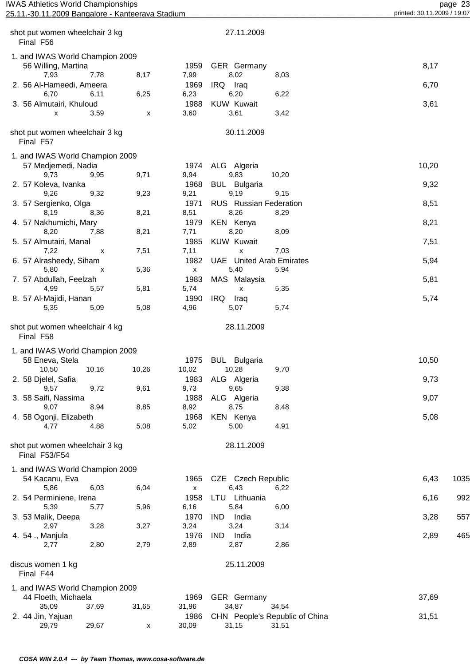| <b>IWAS Athletics World Championships</b> | າາ<br>page<br>ں ے |
|-------------------------------------------|-------------------|
|                                           |                   |

| 25.11.<br>11.2009 Bangalore $\cdot$<br>-30. | . - Kanteerava Stadium | $1.2009-/-$<br>19:07<br>printed: 30.1 |
|---------------------------------------------|------------------------|---------------------------------------|
|                                             |                        |                                       |

| shot put women wheelchair 3 kg<br>Final F56                                    |                    |              | 27.11.2009                                      |       |      |
|--------------------------------------------------------------------------------|--------------------|--------------|-------------------------------------------------|-------|------|
| 1. and IWAS World Champion 2009                                                |                    |              |                                                 |       |      |
| 56 Willing, Martina                                                            |                    | 1959         | GER Germany                                     | 8,17  |      |
| 7,93<br>7,78                                                                   | 8,17               | 7,99         | 8,02<br>8,03                                    |       |      |
| 2. 56 Al-Hameedi, Ameera                                                       |                    | 1969         | IRQ Iraq                                        | 6,70  |      |
| 6,70<br>6,11                                                                   | 6,25               | 6,23         | 6,20<br>6,22                                    |       |      |
| 3. 56 Almutairi, Khuloud                                                       |                    | 1988         | <b>KUW Kuwait</b>                               | 3,61  |      |
| 3,59<br>X                                                                      | x                  | 3,60         | 3,61<br>3,42                                    |       |      |
| shot put women wheelchair 3 kg<br>Final F57                                    |                    |              | 30.11.2009                                      |       |      |
| 1. and IWAS World Champion 2009                                                |                    |              |                                                 |       |      |
| 57 Medjemedi, Nadia                                                            |                    | 1974         | ALG Algeria                                     | 10,20 |      |
| 9,73<br>9,95                                                                   | 9,71               | 9,94         | 9,83<br>10,20                                   |       |      |
| 2. 57 Koleva, Ivanka                                                           |                    | 1968         | <b>BUL</b> Bulgaria                             | 9,32  |      |
| 9,26<br>9,32                                                                   | 9,23               | 9,21         | 9,19<br>9,15                                    |       |      |
| 3. 57 Sergienko, Olga                                                          |                    | 1971         | RUS Russian Federation                          | 8,51  |      |
| 8,19<br>8,36                                                                   | 8,21               | 8,51         | 8,26<br>8,29                                    |       |      |
| 4. 57 Nakhumichi, Mary                                                         |                    | 1979         | <b>KEN Kenya</b>                                | 8,21  |      |
| 8,20<br>7,88                                                                   | 8,21               | 7,71         | 8,20<br>8,09                                    |       |      |
| 5. 57 Almutairi, Manal                                                         |                    | 1985         | <b>KUW Kuwait</b>                               | 7,51  |      |
| 7,22<br>X                                                                      | 7,51               | 7,11         | 7,03<br>X                                       |       |      |
| 6. 57 Alrasheedy, Siham<br>5,80                                                | 5,36               | 1982<br>X    | <b>UAE</b> United Arab Emirates<br>5,40<br>5,94 | 5,94  |      |
| х<br>7. 57 Abdullah, Feelzah                                                   |                    | 1983         | MAS Malaysia                                    | 5,81  |      |
| 4,99<br>5,57                                                                   | 5,81               | 5,74         | 5,35<br>$\pmb{\mathsf{X}}$                      |       |      |
| 8. 57 Al-Majidi, Hanan                                                         |                    | 1990         | IRQ<br>Iraq                                     | 5,74  |      |
| 5,35<br>5,09                                                                   | 5,08               | 4,96         | 5,74<br>5,07                                    |       |      |
| shot put women wheelchair 4 kg<br>Final F58<br>1. and IWAS World Champion 2009 |                    |              | 28.11.2009                                      |       |      |
| 58 Eneva, Stela                                                                |                    | 1975         | <b>BUL</b> Bulgaria                             | 10,50 |      |
| 10,50<br>10,16                                                                 | 10,26              | 10,02        | 10,28<br>9,70                                   |       |      |
| 2. 58 Djelel, Safia                                                            |                    |              | 1983 ALG Algeria                                | 9,73  |      |
| 9,72<br>9,57                                                                   | 9,61               | 9,73         | 9,65<br>9,38                                    |       |      |
| 3. 58 Saifi, Nassima                                                           |                    | 1988         | ALG Algeria                                     | 9,07  |      |
| 9,07<br>8,94                                                                   | 8,85               | 8,92         | 8,75<br>8,48                                    |       |      |
| 4. 58 Ogonji, Elizabeth                                                        |                    | 1968         | KEN Kenya                                       | 5,08  |      |
| 4,77<br>4,88                                                                   | 5,08               | 5,02         | 5,00<br>4,91                                    |       |      |
| shot put women wheelchair 3 kg<br>Final F53/F54                                |                    |              | 28.11.2009                                      |       |      |
| 1. and IWAS World Champion 2009                                                |                    |              |                                                 |       |      |
| 54 Kacanu, Eva                                                                 |                    | 1965         | CZE Czech Republic                              | 6,43  | 1035 |
| 5,86<br>6,03                                                                   | 6,04               | $\mathsf{x}$ | 6,43<br>6,22                                    |       |      |
| 2. 54 Perminiene, Irena                                                        |                    | 1958         | LTU Lithuania                                   | 6,16  | 992  |
| 5,39<br>5,77                                                                   | 5,96               | 6,16         | 5,84<br>6,00                                    |       |      |
| 3. 53 Malik, Deepa                                                             |                    | 1970         | <b>IND</b><br>India                             | 3,28  | 557  |
| 3,28<br>2,97                                                                   | 3,27               | 3,24         | 3,24<br>3,14                                    |       |      |
| 4. 54 ., Manjula<br>2,80<br>2,77                                               | 2,79               | 1976<br>2,89 | <b>IND</b><br>India<br>2,87<br>2,86             | 2,89  | 465  |
| discus women 1 kg                                                              |                    |              | 25.11.2009                                      |       |      |
| Final F44                                                                      |                    |              |                                                 |       |      |
| 1. and IWAS World Champion 2009                                                |                    |              |                                                 |       |      |
| 44 Floeth, Michaela                                                            |                    | 1969         | GER Germany                                     | 37,69 |      |
| 35,09<br>37,69                                                                 | 31,65              | 31,96        | 34,87<br>34,54                                  |       |      |
| 2. 44 Jin, Yajuan                                                              |                    | 1986         | CHN People's Republic of China                  | 31,51 |      |
| 29,79<br>29,67                                                                 | $\pmb{\mathsf{x}}$ | 30,09        | 31,15<br>31,51                                  |       |      |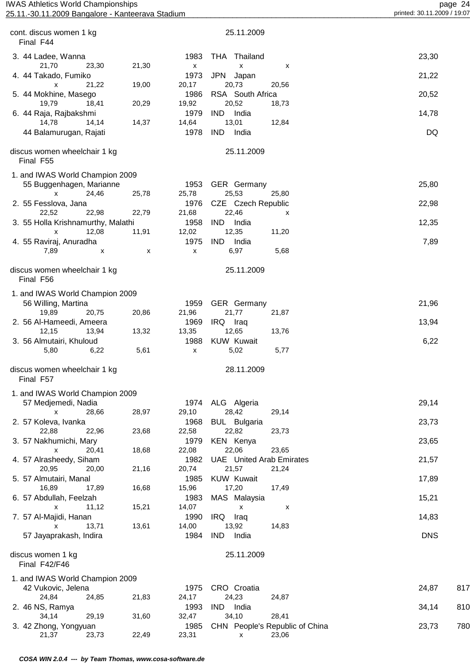| <b>IWAS Athletics World Championships</b><br>25.11.-30.11.2009 Bangalore - Kanteerava Stadium |       |                            |                                          |       | printed: 30.11.2009 / 19:07 | page 24 |
|-----------------------------------------------------------------------------------------------|-------|----------------------------|------------------------------------------|-------|-----------------------------|---------|
|                                                                                               |       |                            |                                          |       |                             |         |
| cont. discus women 1 kg<br>Final F44                                                          |       |                            | 25.11.2009                               |       |                             |         |
| 3. 44 Ladee, Wanna<br>21,70<br>23,30                                                          | 21,30 | 1983<br>$\pmb{\mathsf{X}}$ | THA Thailand<br>X                        | х     | 23,30                       |         |
| 4. 44 Takado, Fumiko<br>21,22<br>X                                                            | 19,00 | 1973<br>20,17              | <b>JPN</b><br>Japan<br>20,73             | 20,56 | 21,22                       |         |
| 5. 44 Mokhine, Masego<br>19,79<br>18,41                                                       | 20,29 | 1986<br>19,92              | RSA South Africa<br>20,52                | 18,73 | 20,52                       |         |
| 6. 44 Raja, Rajbakshmi<br>14,78<br>14,14                                                      | 14,37 | 1979<br>14,64              | IND<br>India<br>13,01                    | 12,84 | 14,78                       |         |
| 44 Balamurugan, Rajati                                                                        |       | 1978                       | <b>IND</b><br>India                      |       | DQ                          |         |
| discus women wheelchair 1 kg<br>Final F55                                                     |       |                            | 25.11.2009                               |       |                             |         |
| 1. and IWAS World Champion 2009                                                               |       |                            |                                          |       |                             |         |
| 55 Buggenhagen, Marianne<br>24,46<br>X                                                        | 25,78 | 1953<br>25,78              | GER Germany<br>25,53                     | 25,80 | 25,80                       |         |
| 2. 55 Fesslova, Jana<br>22,52<br>22,98                                                        | 22,79 | 1976<br>21,68              | CZE Czech Republic<br>22,46              | x     | 22,98                       |         |
| 3. 55 Holla Krishnamurthy, Malathi<br>12,08<br>X                                              | 11,91 | 1958<br>12,02              | <b>IND</b><br>India<br>12,35             | 11,20 | 12,35                       |         |
| 4. 55 Raviraj, Anuradha<br>7,89<br>X                                                          |       | 1975<br>$\pmb{\mathsf{x}}$ | IND India<br>6,97                        | 5,68  | 7,89                        |         |
| discus women wheelchair 1 kg                                                                  | х     |                            | 25.11.2009                               |       |                             |         |
| Final F56                                                                                     |       |                            |                                          |       |                             |         |
| 1. and IWAS World Champion 2009<br>56 Willing, Martina                                        |       | 1959                       | GER Germany                              |       | 21,96                       |         |
| 19,89<br>20,75                                                                                | 20,86 | 21,96                      | 21,77                                    | 21,87 |                             |         |
| 2. 56 Al-Hameedi, Ameera<br>12,15<br>13,94                                                    | 13,32 | 1969<br>13,35              | IRQ Iraq<br>12,65                        | 13,76 | 13,94                       |         |
| 3. 56 Almutairi, Khuloud<br>5,80<br>6,22                                                      | 5,61  | 1988<br>X                  | <b>KUW Kuwait</b><br>5,02                | 5,77  | 6,22                        |         |
| discus women wheelchair 1 kg                                                                  |       |                            | 28.11.2009                               |       |                             |         |
| Final F57                                                                                     |       |                            |                                          |       |                             |         |
| 1. and IWAS World Champion 2009                                                               |       |                            |                                          |       |                             |         |
| 57 Medjemedi, Nadia<br>28,66<br>x                                                             | 28,97 | 1974<br>29,10              | ALG Algeria<br>28,42                     | 29,14 | 29,14                       |         |
| 2. 57 Koleva, Ivanka<br>22,88<br>22,96                                                        | 23,68 | 1968<br>22,58              | <b>BUL</b> Bulgaria<br>22,82             | 23,73 | 23,73                       |         |
| 3. 57 Nakhumichi, Mary                                                                        |       | 1979                       | <b>KEN Kenya</b>                         |       | 23,65                       |         |
| 20,41<br>x<br>4. 57 Alrasheedy, Siham                                                         | 18,68 | 22,08<br>1982              | 22,06<br><b>UAE</b> United Arab Emirates | 23,65 | 21,57                       |         |
| 20,95<br>20,00<br>5. 57 Almutairi, Manal                                                      | 21,16 | 20,74<br>1985              | 21,57<br><b>KUW Kuwait</b>               | 21,24 | 17,89                       |         |
| 16,89<br>17,89<br>6. 57 Abdullah, Feelzah                                                     | 16,68 | 15,96<br>1983              | 17,20<br>MAS Malaysia                    | 17,49 | 15,21                       |         |
| 11,12<br><b>X</b><br>7. 57 Al-Majidi, Hanan                                                   | 15,21 | 14,07<br>1990              | $\pmb{\mathsf{X}}$<br>IRQ<br>Iraq        | х     | 14,83                       |         |
| 13,71<br>x<br>57 Jayaprakash, Indira                                                          | 13,61 | 14,00<br>1984              | 13,92<br><b>IND</b><br>India             | 14,83 | <b>DNS</b>                  |         |
| discus women 1 kg<br>Final F42/F46                                                            |       |                            | 25.11.2009                               |       |                             |         |
| 1. and IWAS World Champion 2009                                                               |       |                            |                                          |       |                             |         |
| 42 Vukovic, Jelena                                                                            |       | 1975                       | CRO Croatia                              |       | 24,87                       | 817     |
| 24,84<br>24,85<br>2. 46 NS, Ramya                                                             | 21,83 | 24,17<br>1993              | 24,23<br>IND India                       | 24,87 | 34,14                       | 810     |
| 34,14<br>29,19                                                                                | 31,60 | 32,47                      | 34,10                                    | 28,41 |                             |         |

3. 42 Zhong, Yongyuan 1985 CHN People's Republic of China 23,73 780

21,37 23,73 22,49 23,31 x 23,06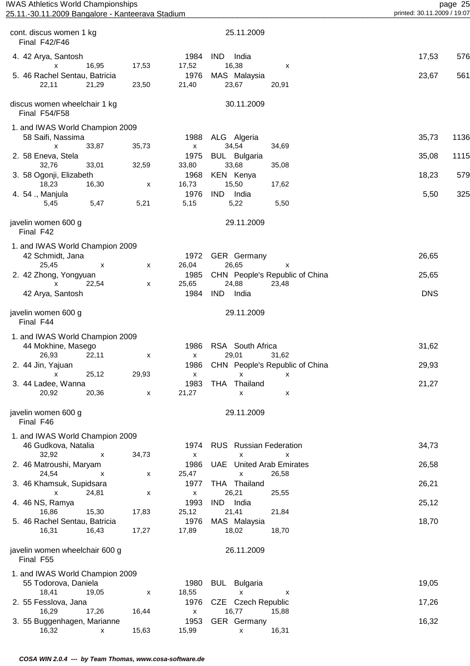| <b>IWAS Athletics World Championships</b><br>25.11.-30.11.2009 Bangalore - Kanteerava Stadium |       |                            |                                                  | printed: 30.11.2009 / 19:07 | page 25 |
|-----------------------------------------------------------------------------------------------|-------|----------------------------|--------------------------------------------------|-----------------------------|---------|
|                                                                                               |       |                            |                                                  |                             |         |
| cont. discus women 1 kg<br>Final F42/F46                                                      |       |                            | 25.11.2009                                       |                             |         |
| 4. 42 Arya, Santosh<br>16,95<br>X                                                             | 17,53 | 1984<br>17,52              | <b>IND</b><br>India<br>16,38<br>х                | 17,53                       | 576     |
| 5. 46 Rachel Sentau, Batricia                                                                 |       | 1976                       | MAS Malaysia                                     | 23,67                       | 561     |
| 22,11<br>21,29                                                                                | 23,50 | 21,40                      | 23,67<br>20,91                                   |                             |         |
| discus women wheelchair 1 kg<br>Final F54/F58                                                 |       |                            | 30.11.2009                                       |                             |         |
| 1. and IWAS World Champion 2009                                                               |       |                            |                                                  |                             |         |
| 58 Saifi, Nassima<br>33,87<br>X                                                               | 35,73 | 1988<br>$\pmb{\mathsf{X}}$ | ALG Algeria<br>34,54<br>34,69                    | 35,73                       | 1136    |
| 2. 58 Eneva, Stela                                                                            |       | 1975                       | <b>BUL</b> Bulgaria                              | 35,08                       | 1115    |
| 32,76<br>33,01                                                                                | 32,59 | 33,80                      | 33,68<br>35,08                                   |                             |         |
| 3. 58 Ogonji, Elizabeth                                                                       |       | 1968                       | <b>KEN Kenya</b>                                 | 18,23                       | 579     |
| 18,23<br>16,30<br>4. 54 ., Manjula                                                            | х     | 16,73<br>1976              | 15,50<br>17,62<br>IND.<br>India                  | 5,50                        | 325     |
| 5,45<br>5,47                                                                                  | 5,21  | 5,15                       | 5,22<br>5,50                                     |                             |         |
| javelin women 600 g<br>Final F42                                                              |       |                            | 29.11.2009                                       |                             |         |
|                                                                                               |       |                            |                                                  |                             |         |
| 1. and IWAS World Champion 2009<br>42 Schmidt, Jana                                           |       | 1972                       | GER Germany                                      | 26,65                       |         |
| 25,45<br>х                                                                                    | x     | 26,04                      | 26,65<br>x                                       |                             |         |
| 2. 42 Zhong, Yongyuan                                                                         |       | 1985                       | CHN People's Republic of China                   | 25,65                       |         |
| 22,54<br>x                                                                                    | X     | 25,65                      | 24,88<br>23,48                                   |                             |         |
| 42 Arya, Santosh                                                                              |       | 1984                       | <b>IND</b><br>India                              | <b>DNS</b>                  |         |
| javelin women 600 g<br>Final F44                                                              |       |                            | 29.11.2009                                       |                             |         |
| 1. and IWAS World Champion 2009                                                               |       |                            |                                                  |                             |         |
| 44 Mokhine, Masego                                                                            |       | 1986                       | RSA South Africa                                 | 31,62                       |         |
| 26,93<br>22,11<br>2. 44 Jin, Yajuan                                                           | X     | $\mathsf{X}$<br>1986       | 29,01<br>31,62<br>CHN People's Republic of China | 29,93                       |         |
| 25,12<br>x                                                                                    | 29,93 | $\boldsymbol{\mathsf{x}}$  | X<br>x                                           |                             |         |
| 3. 44 Ladee, Wanna                                                                            |       | 1983                       | THA Thailand                                     | 21,27                       |         |
| 20,92<br>20,36                                                                                | X     | 21,27                      | $\pmb{\mathsf{X}}$<br>x                          |                             |         |
| javelin women 600 g<br>Final F46                                                              |       |                            | 29.11.2009                                       |                             |         |
| 1. and IWAS World Champion 2009                                                               |       |                            |                                                  |                             |         |
| 46 Gudkova, Natalia                                                                           |       | 1974                       | <b>RUS</b> Russian Federation                    | 34,73                       |         |
| 32,92<br>X                                                                                    | 34,73 | $\boldsymbol{\mathsf{x}}$  | X<br>x                                           |                             |         |
| 2. 46 Matroushi, Maryam<br>24,54<br>x                                                         | X     | 1986<br>25,47              | <b>UAE</b> United Arab Emirates<br>26,58<br>X    | 26,58                       |         |
| 3. 46 Khamsuk, Supidsara                                                                      |       | 1977                       | THA Thailand                                     | 26,21                       |         |
| $\mathsf{x}$<br>24,81                                                                         | х     | $\pmb{\mathsf{X}}$         | 26,21<br>25,55                                   |                             |         |
| 4. 46 NS, Ramya<br>16,86<br>15,30                                                             | 17,83 | 1993<br>25,12              | IND India<br>21,41<br>21,84                      | 25,12                       |         |
| 5. 46 Rachel Sentau, Batricia                                                                 |       | 1976                       | MAS Malaysia                                     | 18,70                       |         |
| 16,31<br>16,43                                                                                | 17,27 | 17,89                      | 18,02<br>18,70                                   |                             |         |
| javelin women wheelchair 600 g<br>Final F55                                                   |       |                            | 26.11.2009                                       |                             |         |
| 1. and IWAS World Champion 2009                                                               |       |                            |                                                  |                             |         |
| 55 Todorova, Daniela                                                                          |       | 1980                       | <b>BUL</b> Bulgaria                              | 19,05                       |         |
| 18,41<br>19,05<br>2. 55 Fesslova, Jana                                                        | X     | 18,55<br>1976              | X<br>х<br>CZE Czech Republic                     | 17,26                       |         |
| 17,26<br>16,29                                                                                | 16,44 | $\pmb{\mathsf{X}}$         | 16,77<br>15,88                                   |                             |         |
| 3. 55 Buggenhagen, Marianne                                                                   |       | 1953                       | GER Germany                                      | 16,32                       |         |

16,32 x 15,63 15,99 x 16,31